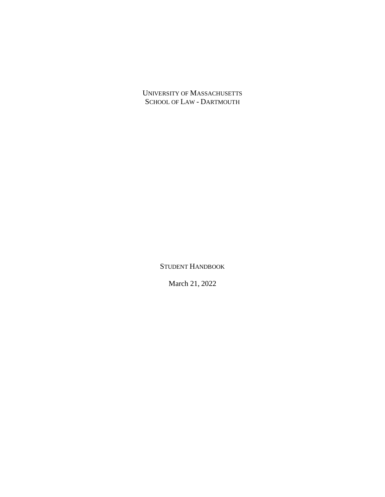UNIVERSITY OF MASSACHUSETTS SCHOOL OF LAW - DARTMOUTH

STUDENT HANDBOOK

March 21, 2022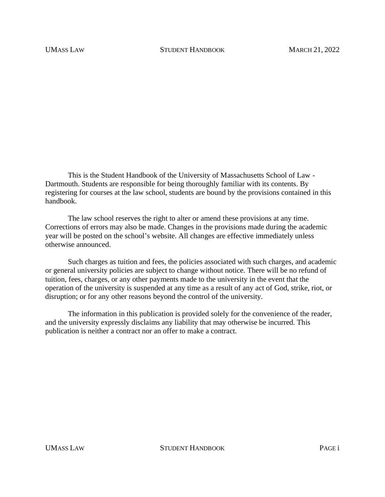This is the Student Handbook of the University of Massachusetts School of Law - Dartmouth. Students are responsible for being thoroughly familiar with its contents. By registering for courses at the law school, students are bound by the provisions contained in this handbook.

The law school reserves the right to alter or amend these provisions at any time. Corrections of errors may also be made. Changes in the provisions made during the academic year will be posted on the school's website. All changes are effective immediately unless otherwise announced.

Such charges as tuition and fees, the policies associated with such charges, and academic or general university policies are subject to change without notice. There will be no refund of tuition, fees, charges, or any other payments made to the university in the event that the operation of the university is suspended at any time as a result of any act of God, strike, riot, or disruption; or for any other reasons beyond the control of the university.

The information in this publication is provided solely for the convenience of the reader, and the university expressly disclaims any liability that may otherwise be incurred. This publication is neither a contract nor an offer to make a contract.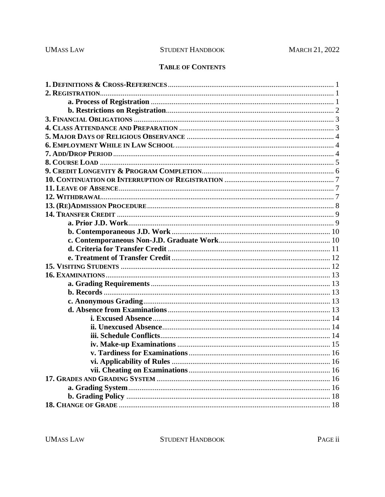# **TABLE OF CONTENTS**

**UMASS LAW** 

STUDENT HANDBOOK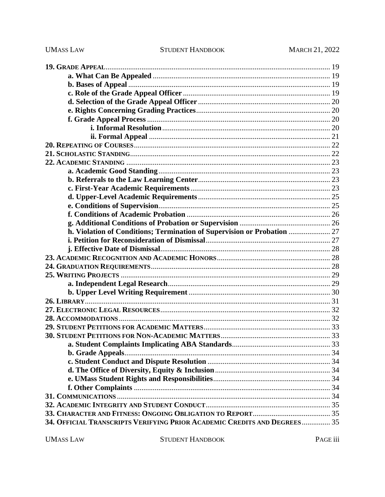**UMASS LAW** 

| h. Violation of Conditions; Termination of Supervision or Probation  27  |  |
|--------------------------------------------------------------------------|--|
|                                                                          |  |
|                                                                          |  |
|                                                                          |  |
|                                                                          |  |
|                                                                          |  |
|                                                                          |  |
|                                                                          |  |
|                                                                          |  |
|                                                                          |  |
|                                                                          |  |
|                                                                          |  |
|                                                                          |  |
|                                                                          |  |
|                                                                          |  |
|                                                                          |  |
|                                                                          |  |
|                                                                          |  |
|                                                                          |  |
|                                                                          |  |
|                                                                          |  |
|                                                                          |  |
| 34. OFFICIAL TRANSCRIPTS VERIFYING PRIOR ACADEMIC CREDITS AND DEGREES 35 |  |

**UMASS LAW**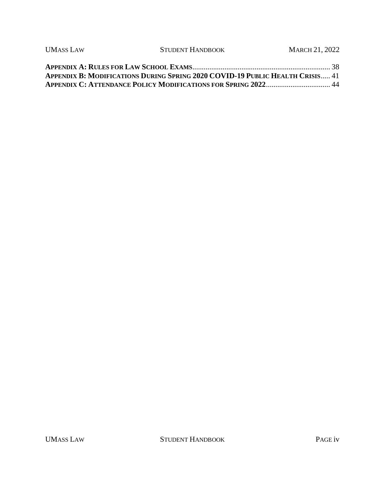| <b>UMASS LAW</b> | STUDENT HANDBOOK                                                                     | <b>MARCH 21, 2022</b> |
|------------------|--------------------------------------------------------------------------------------|-----------------------|
|                  |                                                                                      |                       |
|                  | <b>APPENDIX B: MODIFICATIONS DURING SPRING 2020 COVID-19 PUBLIC HEALTH CRISIS 41</b> |                       |
|                  |                                                                                      |                       |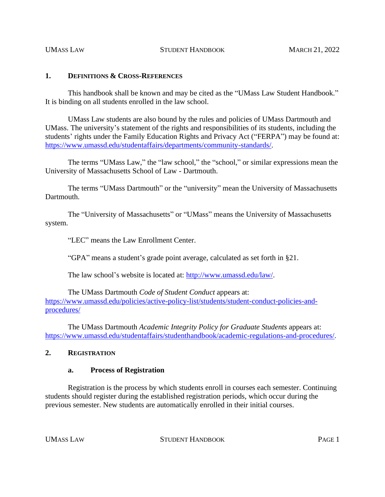## **1. DEFINITIONS & CROSS-REFERENCES**

This handbook shall be known and may be cited as the "UMass Law Student Handbook." It is binding on all students enrolled in the law school.

UMass Law students are also bound by the rules and policies of UMass Dartmouth and UMass. The university's statement of the rights and responsibilities of its students, including the students' rights under the Family Education Rights and Privacy Act ("FERPA") may be found at: [https://www.umassd.edu/studentaffairs/departments/community-standards/.](https://www.umassd.edu/studentaffairs/departments/community-standards/)

The terms "UMass Law," the "law school," the "school," or similar expressions mean the University of Massachusetts School of Law - Dartmouth.

The terms "UMass Dartmouth" or the "university" mean the University of Massachusetts Dartmouth.

The "University of Massachusetts" or "UMass" means the University of Massachusetts system.

"LEC" means the Law Enrollment Center.

"GPA" means a student's grade point average, calculated as set forth in §21.

The law school's website is located at: [http://www.umassd.edu/law/.](http://www.umassd.edu/law/)

The UMass Dartmouth *Code of Student Conduct* appears at: [https://www.umassd.edu/policies/active-policy-list/students/student-conduct-policies-and](https://www.umassd.edu/policies/active-policy-list/students/student-conduct-policies-and-procedures/)[procedures/](https://www.umassd.edu/policies/active-policy-list/students/student-conduct-policies-and-procedures/)

The UMass Dartmouth *Academic Integrity Policy for Graduate Students* appears at: [https://www.umassd.edu/studentaffairs/studenthandbook/academic-regulations-and-procedures/.](https://www.umassd.edu/studentaffairs/studenthandbook/academic-regulations-and-procedures/)

#### **2. REGISTRATION**

#### **a. Process of Registration**

Registration is the process by which students enroll in courses each semester. Continuing students should register during the established registration periods, which occur during the previous semester. New students are automatically enrolled in their initial courses.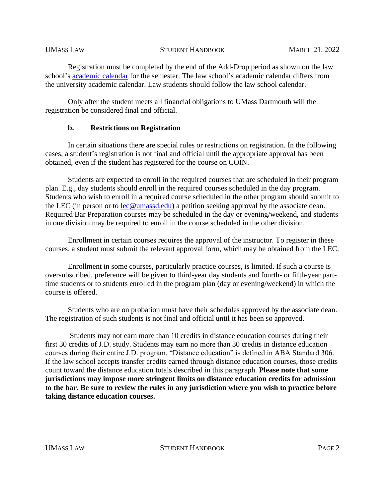Registration must be completed by the end of the Add-Drop period as shown on the law school's [academic calendar](https://www.umassd.edu/law/academic-calendar/) for the semester. The law school's academic calendar differs from the university academic calendar. Law students should follow the law school calendar.

Only after the student meets all financial obligations to UMass Dartmouth will the registration be considered final and official.

### **b. Restrictions on Registration**

In certain situations there are special rules or restrictions on registration. In the following cases, a student's registration is not final and official until the appropriate approval has been obtained, even if the student has registered for the course on COIN.

Students are expected to enroll in the required courses that are scheduled in their program plan. E.g., day students should enroll in the required courses scheduled in the day program. Students who wish to enroll in a required course scheduled in the other program should submit to the LEC (in person or to [lec@umassd.edu\)](mailto:lec@umassd.edu) a petition seeking approval by the associate dean. Required Bar Preparation courses may be scheduled in the day or evening/weekend, and students in one division may be required to enroll in the course scheduled in the other division.

Enrollment in certain courses requires the approval of the instructor. To register in these courses, a student must submit the relevant approval form, which may be obtained from the LEC.

Enrollment in some courses, particularly practice courses, is limited. If such a course is oversubscribed, preference will be given to third-year day students and fourth- or fifth-year parttime students or to students enrolled in the program plan (day or evening/weekend) in which the course is offered.

Students who are on probation must have their schedules approved by the associate dean. The registration of such students is not final and official until it has been so approved.

Students may not earn more than 10 credits in distance education courses during their first 30 credits of J.D. study. Students may earn no more than 30 credits in distance education courses during their entire J.D. program. "Distance education" is defined in ABA Standard 306. If the law school accepts transfer credits earned through distance education courses, those credits count toward the distance education totals described in this paragraph. **Please note that some jurisdictions may impose more stringent limits on distance education credits for admission to the bar. Be sure to review the rules in any jurisdiction where you wish to practice before taking distance education courses.**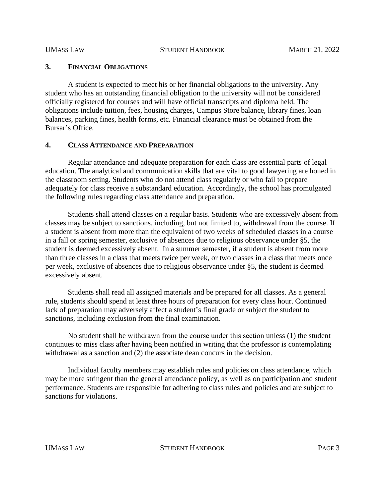## **3. FINANCIAL OBLIGATIONS**

A student is expected to meet his or her financial obligations to the university. Any student who has an outstanding financial obligation to the university will not be considered officially registered for courses and will have official transcripts and diploma held. The obligations include tuition, fees, housing charges, Campus Store balance, library fines, loan balances, parking fines, health forms, etc. Financial clearance must be obtained from the Bursar's Office.

## **4. CLASS ATTENDANCE AND PREPARATION**

Regular attendance and adequate preparation for each class are essential parts of legal education. The analytical and communication skills that are vital to good lawyering are honed in the classroom setting. Students who do not attend class regularly or who fail to prepare adequately for class receive a substandard education. Accordingly, the school has promulgated the following rules regarding class attendance and preparation.

Students shall attend classes on a regular basis. Students who are excessively absent from classes may be subject to sanctions, including, but not limited to, withdrawal from the course. If a student is absent from more than the equivalent of two weeks of scheduled classes in a course in a fall or spring semester, exclusive of absences due to religious observance under §5, the student is deemed excessively absent. In a summer semester, if a student is absent from more than three classes in a class that meets twice per week, or two classes in a class that meets once per week, exclusive of absences due to religious observance under §5, the student is deemed excessively absent.

Students shall read all assigned materials and be prepared for all classes. As a general rule, students should spend at least three hours of preparation for every class hour. Continued lack of preparation may adversely affect a student's final grade or subject the student to sanctions, including exclusion from the final examination.

No student shall be withdrawn from the course under this section unless (1) the student continues to miss class after having been notified in writing that the professor is contemplating withdrawal as a sanction and (2) the associate dean concurs in the decision.

Individual faculty members may establish rules and policies on class attendance, which may be more stringent than the general attendance policy, as well as on participation and student performance. Students are responsible for adhering to class rules and policies and are subject to sanctions for violations.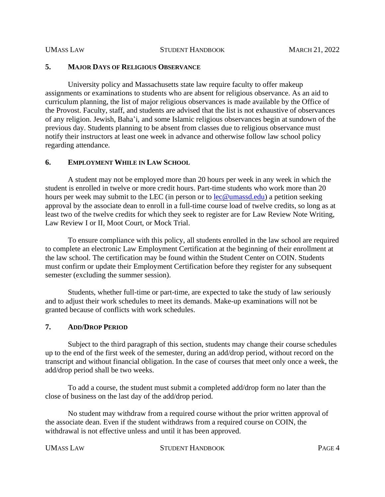## **5. MAJOR DAYS OF RELIGIOUS OBSERVANCE**

University policy and Massachusetts state law require faculty to offer makeup assignments or examinations to students who are absent for religious observance. As an aid to curriculum planning, the list of major religious observances is made available by the Office of the Provost. Faculty, staff, and students are advised that the list is not exhaustive of observances of any religion. Jewish, Baha'i, and some Islamic religious observances begin at sundown of the previous day. Students planning to be absent from classes due to religious observance must notify their instructors at least one week in advance and otherwise follow law school policy regarding attendance.

### **6. EMPLOYMENT WHILE IN LAW SCHOOL**

A student may not be employed more than 20 hours per week in any week in which the student is enrolled in twelve or more credit hours. Part-time students who work more than 20 hours per week may submit to the LEC (in person or to  $\text{lec@umassd.edu)}$ ) a petition seeking approval by the associate dean to enroll in a full-time course load of twelve credits, so long as at least two of the twelve credits for which they seek to register are for Law Review Note Writing, Law Review I or II, Moot Court, or Mock Trial.

To ensure compliance with this policy, all students enrolled in the law school are required to complete an electronic Law Employment Certification at the beginning of their enrollment at the law school. The certification may be found within the Student Center on COIN. Students must confirm or update their Employment Certification before they register for any subsequent semester (excluding the summer session).

Students, whether full-time or part-time, are expected to take the study of law seriously and to adjust their work schedules to meet its demands. Make-up examinations will not be granted because of conflicts with work schedules.

#### **7. ADD/DROP PERIOD**

Subject to the third paragraph of this section, students may change their course schedules up to the end of the first week of the semester, during an add/drop period, without record on the transcript and without financial obligation. In the case of courses that meet only once a week, the add/drop period shall be two weeks.

To add a course, the student must submit a completed add/drop form no later than the close of business on the last day of the add/drop period.

No student may withdraw from a required course without the prior written approval of the associate dean. Even if the student withdraws from a required course on COIN, the withdrawal is not effective unless and until it has been approved.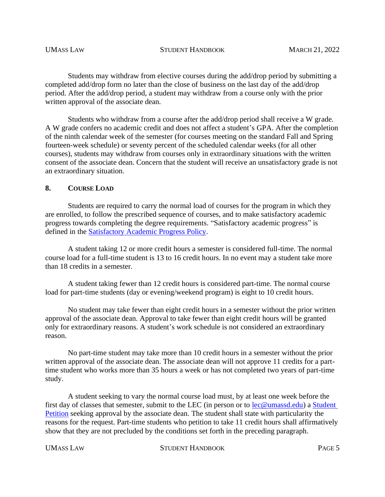Students may withdraw from elective courses during the add/drop period by submitting a completed add/drop form no later than the close of business on the last day of the add/drop period. After the add/drop period, a student may withdraw from a course only with the prior written approval of the associate dean.

Students who withdraw from a course after the add/drop period shall receive a W grade. A W grade confers no academic credit and does not affect a student's GPA. After the completion of the ninth calendar week of the semester (for courses meeting on the standard Fall and Spring fourteen-week schedule) or seventy percent of the scheduled calendar weeks (for all other courses), students may withdraw from courses only in extraordinary situations with the written consent of the associate dean. Concern that the student will receive an unsatisfactory grade is not an extraordinary situation.

## **8. COURSE LOAD**

Students are required to carry the normal load of courses for the program in which they are enrolled, to follow the prescribed sequence of courses, and to make satisfactory academic progress towards completing the degree requirements. "Satisfactory academic progress" is defined in the [Satisfactory Academic Progress Policy.](https://www.umassd.edu/financialaid/maintaining-aid/satisfactory-academic-progress/)

A student taking 12 or more credit hours a semester is considered full-time. The normal course load for a full-time student is 13 to 16 credit hours. In no event may a student take more than 18 credits in a semester.

A student taking fewer than 12 credit hours is considered part-time. The normal course load for part-time students (day or evening/weekend program) is eight to 10 credit hours.

No student may take fewer than eight credit hours in a semester without the prior written approval of the associate dean. Approval to take fewer than eight credit hours will be granted only for extraordinary reasons. A student's work schedule is not considered an extraordinary reason.

No part-time student may take more than 10 credit hours in a semester without the prior written approval of the associate dean. The associate dean will not approve 11 credits for a parttime student who works more than 35 hours a week or has not completed two years of part-time study.

A student seeking to vary the normal course load must, by at least one week before the first day of classes that semester, submit to the LEC (in person or to [lec@umassd.edu\)](mailto:lec@umassd.edu) a [Student](https://www.umassd.edu/media/umassdartmouth/school-of-law/forms/student_petition_form_aug.pdf)  [Petition](https://www.umassd.edu/media/umassdartmouth/school-of-law/forms/student_petition_form_aug.pdf) seeking approval by the associate dean. The student shall state with particularity the reasons for the request. Part-time students who petition to take 11 credit hours shall affirmatively show that they are not precluded by the conditions set forth in the preceding paragraph.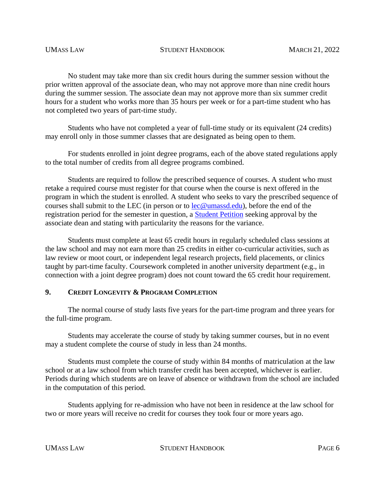No student may take more than six credit hours during the summer session without the prior written approval of the associate dean, who may not approve more than nine credit hours during the summer session. The associate dean may not approve more than six summer credit hours for a student who works more than 35 hours per week or for a part-time student who has not completed two years of part-time study.

Students who have not completed a year of full-time study or its equivalent (24 credits) may enroll only in those summer classes that are designated as being open to them.

For students enrolled in joint degree programs, each of the above stated regulations apply to the total number of credits from all degree programs combined.

Students are required to follow the prescribed sequence of courses. A student who must retake a required course must register for that course when the course is next offered in the program in which the student is enrolled. A student who seeks to vary the prescribed sequence of courses shall submit to the LEC (in person or to  $\text{lec@umassd.edu}$ ), before the end of the registration period for the semester in question, a [Student Petition](https://www.umassd.edu/media/umassdartmouth/school-of-law/forms/student_petition_form_aug.pdf) seeking approval by the associate dean and stating with particularity the reasons for the variance.

Students must complete at least 65 credit hours in regularly scheduled class sessions at the law school and may not earn more than 25 credits in either co-curricular activities, such as law review or moot court, or independent legal research projects, field placements, or clinics taught by part-time faculty. Coursework completed in another university department (e.g., in connection with a joint degree program) does not count toward the 65 credit hour requirement.

## **9. CREDIT LONGEVITY & PROGRAM COMPLETION**

The normal course of study lasts five years for the part-time program and three years for the full-time program.

Students may accelerate the course of study by taking summer courses, but in no event may a student complete the course of study in less than 24 months.

Students must complete the course of study within 84 months of matriculation at the law school or at a law school from which transfer credit has been accepted, whichever is earlier. Periods during which students are on leave of absence or withdrawn from the school are included in the computation of this period.

Students applying for re-admission who have not been in residence at the law school for two or more years will receive no credit for courses they took four or more years ago.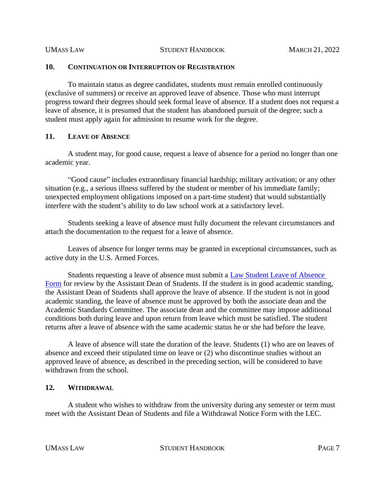#### **10. CONTINUATION OR INTERRUPTION OF REGISTRATION**

To maintain status as degree candidates, students must remain enrolled continuously (exclusive of summers) or receive an approved leave of absence. Those who must interrupt progress toward their degrees should seek formal leave of absence. If a student does not request a leave of absence, it is presumed that the student has abandoned pursuit of the degree; such a student must apply again for admission to resume work for the degree.

#### **11. LEAVE OF ABSENCE**

A student may, for good cause, request a leave of absence for a period no longer than one academic year.

"Good cause" includes extraordinary financial hardship; military activation; or any other situation (e.g., a serious illness suffered by the student or member of his immediate family; unexpected employment obligations imposed on a part-time student) that would substantially interfere with the student's ability to do law school work at a satisfactory level.

Students seeking a leave of absence must fully document the relevant circumstances and attach the documentation to the request for a leave of absence.

Leaves of absence for longer terms may be granted in exceptional circumstances, such as active duty in the U.S. Armed Forces.

Students requesting a leave of absence must submit a **Law Student Leave of Absence** [Form](https://www.umassd.edu/media/umassdartmouth/school-of-law/forms/change_of_status_leave_of_absense.pdf) for review by the Assistant Dean of Students. If the student is in good academic standing, the Assistant Dean of Students shall approve the leave of absence. If the student is not in good academic standing, the leave of absence must be approved by both the associate dean and the Academic Standards Committee. The associate dean and the committee may impose additional conditions both during leave and upon return from leave which must be satisfied. The student returns after a leave of absence with the same academic status he or she had before the leave.

A leave of absence will state the duration of the leave. Students (1) who are on leaves of absence and exceed their stipulated time on leave or (2) who discontinue studies without an approved leave of absence, as described in the preceding section, will be considered to have withdrawn from the school.

# **12. WITHDRAWAL**

A student who wishes to withdraw from the university during any semester or term must meet with the Assistant Dean of Students and file a Withdrawal Notice Form with the LEC.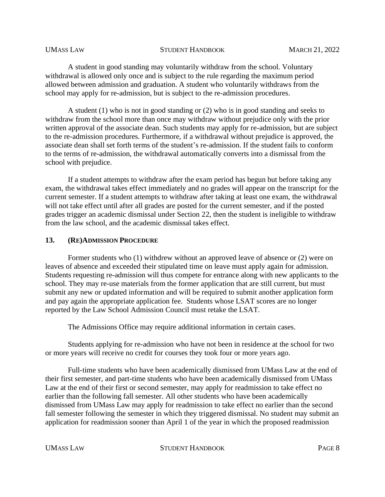A student in good standing may voluntarily withdraw from the school. Voluntary withdrawal is allowed only once and is subject to the rule regarding the maximum period allowed between admission and graduation. A student who voluntarily withdraws from the school may apply for re-admission, but is subject to the re-admission procedures.

A student (1) who is not in good standing or (2) who is in good standing and seeks to withdraw from the school more than once may withdraw without prejudice only with the prior written approval of the associate dean. Such students may apply for re-admission, but are subject to the re-admission procedures. Furthermore, if a withdrawal without prejudice is approved, the associate dean shall set forth terms of the student's re-admission. If the student fails to conform to the terms of re-admission, the withdrawal automatically converts into a dismissal from the school with prejudice.

If a student attempts to withdraw after the exam period has begun but before taking any exam, the withdrawal takes effect immediately and no grades will appear on the transcript for the current semester. If a student attempts to withdraw after taking at least one exam, the withdrawal will not take effect until after all grades are posted for the current semester, and if the posted grades trigger an academic dismissal under Section 22, then the student is ineligible to withdraw from the law school, and the academic dismissal takes effect.

#### **13. (RE)ADMISSION PROCEDURE**

Former students who (1) withdrew without an approved leave of absence or (2) were on leaves of absence and exceeded their stipulated time on leave must apply again for admission. Students requesting re-admission will thus compete for entrance along with new applicants to the school. They may re-use materials from the former application that are still current, but must submit any new or updated information and will be required to submit another application form and pay again the appropriate application fee. Students whose LSAT scores are no longer reported by the Law School Admission Council must retake the LSAT.

The Admissions Office may require additional information in certain cases.

Students applying for re-admission who have not been in residence at the school for two or more years will receive no credit for courses they took four or more years ago.

Full-time students who have been academically dismissed from UMass Law at the end of their first semester, and part-time students who have been academically dismissed from UMass Law at the end of their first or second semester, may apply for readmission to take effect no earlier than the following fall semester. All other students who have been academically dismissed from UMass Law may apply for readmission to take effect no earlier than the second fall semester following the semester in which they triggered dismissal. No student may submit an application for readmission sooner than April 1 of the year in which the proposed readmission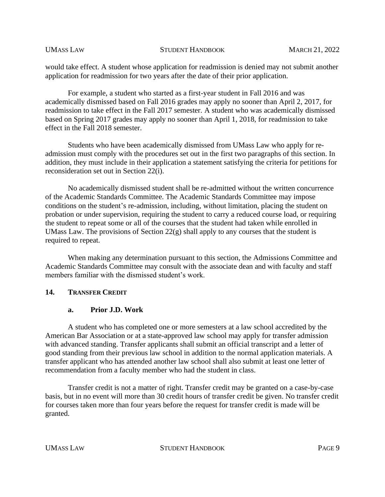would take effect. A student whose application for readmission is denied may not submit another application for readmission for two years after the date of their prior application.

For example, a student who started as a first-year student in Fall 2016 and was academically dismissed based on Fall 2016 grades may apply no sooner than April 2, 2017, for readmission to take effect in the Fall 2017 semester. A student who was academically dismissed based on Spring 2017 grades may apply no sooner than April 1, 2018, for readmission to take effect in the Fall 2018 semester.

Students who have been academically dismissed from UMass Law who apply for readmission must comply with the procedures set out in the first two paragraphs of this section. In addition, they must include in their application a statement satisfying the criteria for petitions for reconsideration set out in Section 22(i).

No academically dismissed student shall be re-admitted without the written concurrence of the Academic Standards Committee. The Academic Standards Committee may impose conditions on the student's re-admission, including, without limitation, placing the student on probation or under supervision, requiring the student to carry a reduced course load, or requiring the student to repeat some or all of the courses that the student had taken while enrolled in UMass Law. The provisions of Section  $22(g)$  shall apply to any courses that the student is required to repeat.

When making any determination pursuant to this section, the Admissions Committee and Academic Standards Committee may consult with the associate dean and with faculty and staff members familiar with the dismissed student's work.

## **14. TRANSFER CREDIT**

## **a. Prior J.D. Work**

A student who has completed one or more semesters at a law school accredited by the American Bar Association or at a state-approved law school may apply for transfer admission with advanced standing. Transfer applicants shall submit an official transcript and a letter of good standing from their previous law school in addition to the normal application materials. A transfer applicant who has attended another law school shall also submit at least one letter of recommendation from a faculty member who had the student in class.

Transfer credit is not a matter of right. Transfer credit may be granted on a case-by-case basis, but in no event will more than 30 credit hours of transfer credit be given. No transfer credit for courses taken more than four years before the request for transfer credit is made will be granted.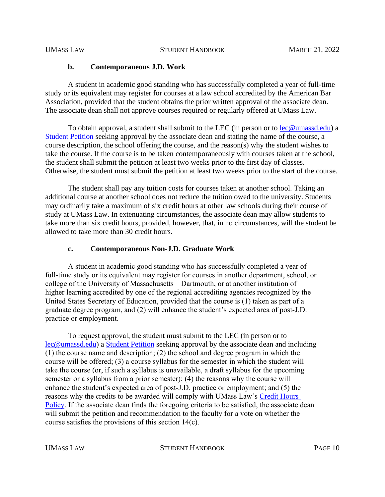#### **b. Contemporaneous J.D. Work**

A student in academic good standing who has successfully completed a year of full-time study or its equivalent may register for courses at a law school accredited by the American Bar Association, provided that the student obtains the prior written approval of the associate dean. The associate dean shall not approve courses required or regularly offered at UMass Law.

To obtain approval, a student shall submit to the LEC (in person or to [lec@umassd.edu\)](mailto:lec@umassd.edu) a [Student Petition](https://www.umassd.edu/media/umassdartmouth/school-of-law/forms/student_petition_form_aug.pdf) seeking approval by the associate dean and stating the name of the course, a course description, the school offering the course, and the reason(s) why the student wishes to take the course. If the course is to be taken contemporaneously with courses taken at the school, the student shall submit the petition at least two weeks prior to the first day of classes. Otherwise, the student must submit the petition at least two weeks prior to the start of the course.

The student shall pay any tuition costs for courses taken at another school. Taking an additional course at another school does not reduce the tuition owed to the university. Students may ordinarily take a maximum of six credit hours at other law schools during their course of study at UMass Law. In extenuating circumstances, the associate dean may allow students to take more than six credit hours, provided, however, that, in no circumstances, will the student be allowed to take more than 30 credit hours.

## **c. Contemporaneous Non-J.D. Graduate Work**

A student in academic good standing who has successfully completed a year of full-time study or its equivalent may register for courses in another department, school, or college of the University of Massachusetts – Dartmouth, or at another institution of higher learning accredited by one of the regional accrediting agencies recognized by the United States Secretary of Education, provided that the course is (1) taken as part of a graduate degree program, and (2) will enhance the student's expected area of post-J.D. practice or employment.

To request approval, the student must submit to the LEC (in person or to [lec@umassd.edu\)](mailto:lec@umassd.edu) a [Student Petition](https://www.umassd.edu/media/umassdartmouth/school-of-law/forms/student_petition_form_aug.pdf) seeking approval by the associate dean and including (1) the course name and description; (2) the school and degree program in which the course will be offered; (3) a course syllabus for the semester in which the student will take the course (or, if such a syllabus is unavailable, a draft syllabus for the upcoming semester or a syllabus from a prior semester); (4) the reasons why the course will enhance the student's expected area of post-J.D. practice or employment; and (5) the reasons why the credits to be awarded will comply with UMass Law's [Credit](https://www.umassd.edu/law/academics/curriculum/credit-hours-policy/) Hours [Policy.](https://www.umassd.edu/law/academics/curriculum/credit-hours-policy/) If the associate dean finds the foregoing criteria to be satisfied, the associate dean will submit the petition and recommendation to the faculty for a vote on whether the course satisfies the provisions of this section 14(c).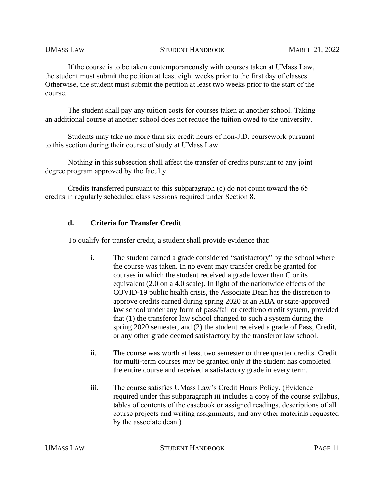If the course is to be taken contemporaneously with courses taken at UMass Law, the student must submit the petition at least eight weeks prior to the first day of classes. Otherwise, the student must submit the petition at least two weeks prior to the start of the course.

The student shall pay any tuition costs for courses taken at another school. Taking an additional course at another school does not reduce the tuition owed to the university.

Students may take no more than six credit hours of non-J.D. coursework pursuant to this section during their course of study at UMass Law.

Nothing in this subsection shall affect the transfer of credits pursuant to any joint degree program approved by the faculty.

Credits transferred pursuant to this subparagraph (c) do not count toward the 65 credits in regularly scheduled class sessions required under Section 8.

## **d. Criteria for Transfer Credit**

To qualify for transfer credit, a student shall provide evidence that:

- i. The student earned a grade considered "satisfactory" by the school where the course was taken. In no event may transfer credit be granted for courses in which the student received a grade lower than C or its equivalent (2.0 on a 4.0 scale). In light of the nationwide effects of the COVID-19 public health crisis, the Associate Dean has the discretion to approve credits earned during spring 2020 at an ABA or state-approved law school under any form of pass/fail or credit/no credit system, provided that (1) the transferor law school changed to such a system during the spring 2020 semester, and (2) the student received a grade of Pass, Credit, or any other grade deemed satisfactory by the transferor law school.
- ii. The course was worth at least two semester or three quarter credits. Credit for multi-term courses may be granted only if the student has completed the entire course and received a satisfactory grade in every term.
- iii. The course satisfies UMass Law's Credit Hours Policy. (Evidence required under this subparagraph iii includes a copy of the course syllabus, tables of contents of the casebook or assigned readings, descriptions of all course projects and writing assignments, and any other materials requested by the associate dean.)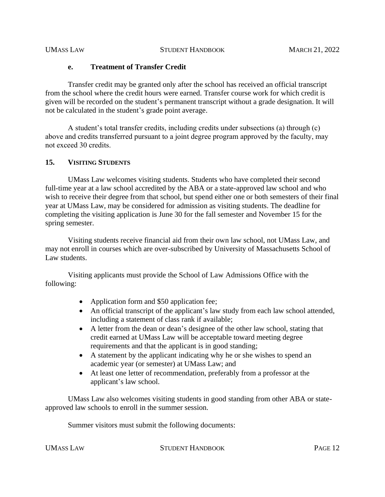#### **e. Treatment of Transfer Credit**

Transfer credit may be granted only after the school has received an official transcript from the school where the credit hours were earned. Transfer course work for which credit is given will be recorded on the student's permanent transcript without a grade designation. It will not be calculated in the student's grade point average.

A student's total transfer credits, including credits under subsections (a) through (c) above and credits transferred pursuant to a joint degree program approved by the faculty, may not exceed 30 credits.

## **15. VISITING STUDENTS**

UMass Law welcomes visiting students. Students who have completed their second full-time year at a law school accredited by the ABA or a state-approved law school and who wish to receive their degree from that school, but spend either one or both semesters of their final year at UMass Law, may be considered for admission as visiting students. The deadline for completing the visiting application is June 30 for the fall semester and November 15 for the spring semester.

Visiting students receive financial aid from their own law school, not UMass Law, and may not enroll in courses which are over-subscribed by University of Massachusetts School of Law students.

Visiting applicants must provide the School of Law Admissions Office with the following:

- Application form and \$50 application fee;
- An official transcript of the applicant's law study from each law school attended, including a statement of class rank if available;
- A letter from the dean or dean's designee of the other law school, stating that credit earned at UMass Law will be acceptable toward meeting degree requirements and that the applicant is in good standing;
- A statement by the applicant indicating why he or she wishes to spend an academic year (or semester) at UMass Law; and
- At least one letter of recommendation, preferably from a professor at the applicant's law school.

UMass Law also welcomes visiting students in good standing from other ABA or stateapproved law schools to enroll in the summer session.

Summer visitors must submit the following documents: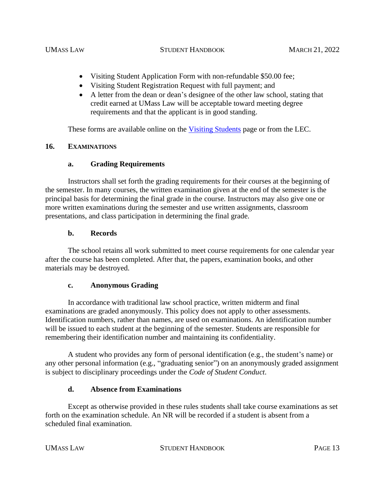- Visiting Student Application Form with non-refundable \$50.00 fee;
- Visiting Student Registration Request with full payment; and
- A letter from the dean or dean's designee of the other law school, stating that credit earned at UMass Law will be acceptable toward meeting degree requirements and that the applicant is in good standing.

These forms are available online on the [Visiting Students](https://www.umassd.edu/law/admissions/apply/visiting/) page or from the LEC.

## **16. EXAMINATIONS**

## **a. Grading Requirements**

Instructors shall set forth the grading requirements for their courses at the beginning of the semester. In many courses, the written examination given at the end of the semester is the principal basis for determining the final grade in the course. Instructors may also give one or more written examinations during the semester and use written assignments, classroom presentations, and class participation in determining the final grade.

## **b. Records**

The school retains all work submitted to meet course requirements for one calendar year after the course has been completed. After that, the papers, examination books, and other materials may be destroyed.

## **c. Anonymous Grading**

In accordance with traditional law school practice, written midterm and final examinations are graded anonymously. This policy does not apply to other assessments. Identification numbers, rather than names, are used on examinations. An identification number will be issued to each student at the beginning of the semester. Students are responsible for remembering their identification number and maintaining its confidentiality.

A student who provides any form of personal identification (e.g., the student's name) or any other personal information (e.g., "graduating senior") on an anonymously graded assignment is subject to disciplinary proceedings under the *Code of Student Conduct*.

## **d. Absence from Examinations**

Except as otherwise provided in these rules students shall take course examinations as set forth on the examination schedule. An NR will be recorded if a student is absent from a scheduled final examination.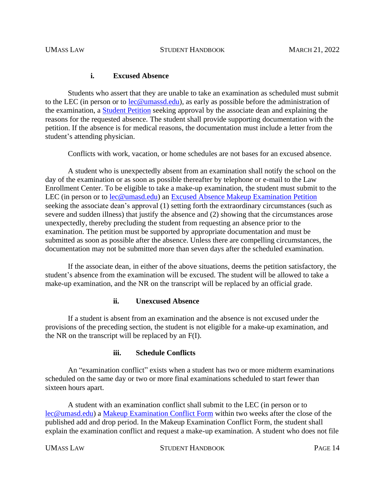## **i. Excused Absence**

Students who assert that they are unable to take an examination as scheduled must submit to the LEC (in person or to [lec@umassd.edu\)](mailto:lec@umassd.edu), as early as possible before the administration of the examination, a [Student Petition](https://www.umassd.edu/media/umassdartmouth/school-of-law/forms/student_petition_form_aug.pdf) seeking approval by the associate dean and explaining the reasons for the requested absence. The student shall provide supporting documentation with the petition. If the absence is for medical reasons, the documentation must include a letter from the student's attending physician.

Conflicts with work, vacation, or home schedules are not bases for an excused absence.

A student who is unexpectedly absent from an examination shall notify the school on the day of the examination or as soon as possible thereafter by telephone or e-mail to the Law Enrollment Center. To be eligible to take a make-up examination, the student must submit to the LEC (in person or to [lec@umasd.edu\)](mailto:lec@umasd.edu) an [Excused Absence Makeup Examination Petition](https://www.umassd.edu/media/umassdartmouth/school-of-law/forms/make_up_excused_absence_aug.pdf) seeking the associate dean's approval (1) setting forth the extraordinary circumstances (such as severe and sudden illness) that justify the absence and (2) showing that the circumstances arose unexpectedly, thereby precluding the student from requesting an absence prior to the examination. The petition must be supported by appropriate documentation and must be submitted as soon as possible after the absence. Unless there are compelling circumstances, the documentation may not be submitted more than seven days after the scheduled examination.

If the associate dean, in either of the above situations, deems the petition satisfactory, the student's absence from the examination will be excused. The student will be allowed to take a make-up examination, and the NR on the transcript will be replaced by an official grade.

## **ii. Unexcused Absence**

If a student is absent from an examination and the absence is not excused under the provisions of the preceding section, the student is not eligible for a make-up examination, and the NR on the transcript will be replaced by an F(I).

## **iii. Schedule Conflicts**

An "examination conflict" exists when a student has two or more midterm examinations scheduled on the same day or two or more final examinations scheduled to start fewer than sixteen hours apart.

A student with an examination conflict shall submit to the LEC (in person or to [lec@umasd.edu\)](mailto:lec@umasd.edu) a [Makeup Examination Conflict Form](https://www.umassd.edu/media/umassdartmouth/school-of-law/forms/make_up_exam_conflict_form.pdf) within two weeks after the close of the published add and drop period. In the Makeup Examination Conflict Form, the student shall explain the examination conflict and request a make-up examination. A student who does not file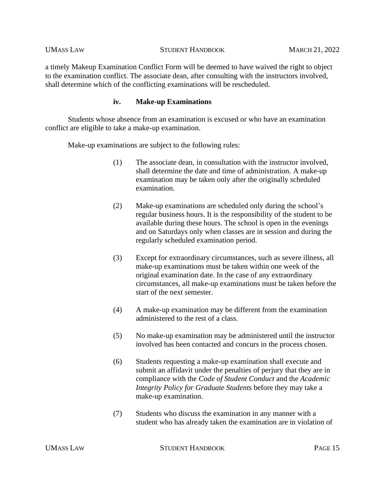a timely Makeup Examination Conflict Form will be deemed to have waived the right to object to the examination conflict. The associate dean, after consulting with the instructors involved, shall determine which of the conflicting examinations will be rescheduled.

### **iv. Make-up Examinations**

Students whose absence from an examination is excused or who have an examination conflict are eligible to take a make-up examination.

Make-up examinations are subject to the following rules:

- (1) The associate dean, in consultation with the instructor involved, shall determine the date and time of administration. A make-up examination may be taken only after the originally scheduled examination.
- (2) Make-up examinations are scheduled only during the school's regular business hours. It is the responsibility of the student to be available during these hours. The school is open in the evenings and on Saturdays only when classes are in session and during the regularly scheduled examination period.
- (3) Except for extraordinary circumstances, such as severe illness, all make-up examinations must be taken within one week of the original examination date. In the case of any extraordinary circumstances, all make-up examinations must be taken before the start of the next semester.
- (4) A make-up examination may be different from the examination administered to the rest of a class.
- (5) No make-up examination may be administered until the instructor involved has been contacted and concurs in the process chosen.
- (6) Students requesting a make-up examination shall execute and submit an affidavit under the penalties of perjury that they are in compliance with the *Code of Student Conduct* and the *Academic Integrity Policy for Graduate Students* before they may take a make-up examination.
- (7) Students who discuss the examination in any manner with a student who has already taken the examination are in violation of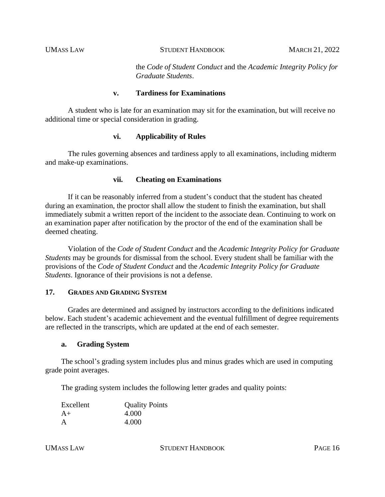the *Code of Student Conduct* and the *Academic Integrity Policy for Graduate Students*.

### **v. Tardiness for Examinations**

A student who is late for an examination may sit for the examination, but will receive no additional time or special consideration in grading.

## **vi. Applicability of Rules**

The rules governing absences and tardiness apply to all examinations, including midterm and make-up examinations.

#### **vii. Cheating on Examinations**

If it can be reasonably inferred from a student's conduct that the student has cheated during an examination, the proctor shall allow the student to finish the examination, but shall immediately submit a written report of the incident to the associate dean. Continuing to work on an examination paper after notification by the proctor of the end of the examination shall be deemed cheating.

Violation of the *Code of Student Conduct* and the *Academic Integrity Policy for Graduate Students* may be grounds for dismissal from the school. Every student shall be familiar with the provisions of the *Code of Student Conduct* and the *Academic Integrity Policy for Graduate Students*. Ignorance of their provisions is not a defense.

#### **17. GRADES AND GRADING SYSTEM**

Grades are determined and assigned by instructors according to the definitions indicated below. Each student's academic achievement and the eventual fulfillment of degree requirements are reflected in the transcripts, which are updated at the end of each semester.

#### **a. Grading System**

The school's grading system includes plus and minus grades which are used in computing grade point averages.

The grading system includes the following letter grades and quality points:

| Excellent | <b>Quality Points</b> |
|-----------|-----------------------|
| $A+$      | 4.000                 |
| A         | 4.000                 |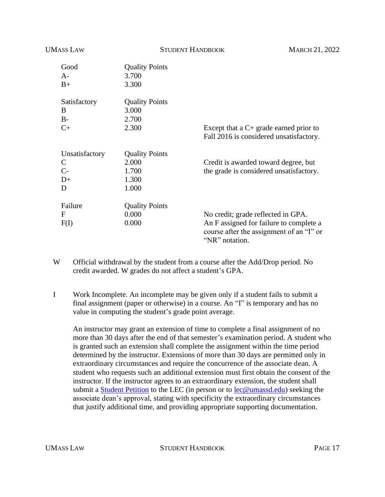| <b>UMASS LAW</b> | <b>STUDENT HANDBOOK</b> |                                                                                                       | <b>MARCH 21, 2022</b> |
|------------------|-------------------------|-------------------------------------------------------------------------------------------------------|-----------------------|
| Good             | <b>Quality Points</b>   |                                                                                                       |                       |
| $A-$             | 3.700                   |                                                                                                       |                       |
| $B+$             | 3.300                   |                                                                                                       |                       |
| Satisfactory     | <b>Quality Points</b>   |                                                                                                       |                       |
| B                | 3.000                   |                                                                                                       |                       |
| $B-$             | 2.700                   |                                                                                                       |                       |
| $C+$             | 2.300                   | Except that a $C$ + grade earned prior to<br>Fall 2016 is considered unsatisfactory.                  |                       |
| Unsatisfactory   | <b>Quality Points</b>   |                                                                                                       |                       |
| $\mathsf{C}$     | 2.000                   | Credit is awarded toward degree, but                                                                  |                       |
| $C-$             | 1.700                   | the grade is considered unsatisfactory.                                                               |                       |
| $D+$             | 1.300                   |                                                                                                       |                       |
| D                | 1.000                   |                                                                                                       |                       |
| Failure          | <b>Quality Points</b>   |                                                                                                       |                       |
| $\mathbf{F}$     | 0.000                   | No credit; grade reflected in GPA.                                                                    |                       |
| F(I)             | 0.000                   | An F assigned for failure to complete a<br>course after the assignment of an "I" or<br>"NR" notation. |                       |

- W Official withdrawal by the student from a course after the Add/Drop period. No credit awarded. W grades do not affect a student's GPA.
- I Work Incomplete. An incomplete may be given only if a student fails to submit a final assignment (paper or otherwise) in a course. An "I" is temporary and has no value in computing the student's grade point average.

An instructor may grant an extension of time to complete a final assignment of no more than 30 days after the end of that semester's examination period. A student who is granted such an extension shall complete the assignment within the time period determined by the instructor. Extensions of more than 30 days are permitted only in extraordinary circumstances and require the concurrence of the associate dean. A student who requests such an additional extension must first obtain the consent of the instructor. If the instructor agrees to an extraordinary extension, the student shall submit a [Student Petition](https://www.umassd.edu/media/umassdartmouth/school-of-law/forms/student_petition_form_aug.pdf) to the LEC (in person or to [lec@umassd.edu\)](mailto:lec@umassd.edu) seeking the associate dean's approval, stating with specificity the extraordinary circumstances that justify additional time, and providing appropriate supporting documentation.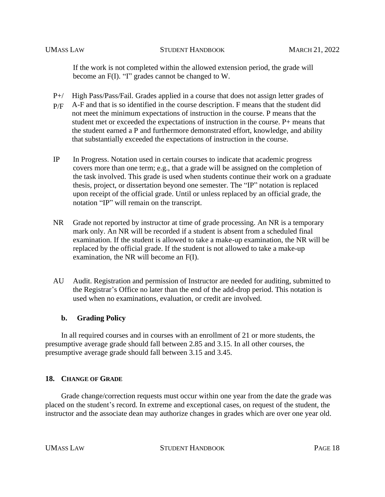If the work is not completed within the allowed extension period, the grade will become an F(I). "I" grades cannot be changed to W.

- $P+/-$ High Pass/Pass/Fail. Grades applied in a course that does not assign letter grades of
- P/F A-F and that is so identified in the course description. F means that the student did not meet the minimum expectations of instruction in the course. P means that the student met or exceeded the expectations of instruction in the course. P+ means that the student earned a P and furthermore demonstrated effort, knowledge, and ability that substantially exceeded the expectations of instruction in the course.
- IP In Progress. Notation used in certain courses to indicate that academic progress covers more than one term; e.g., that a grade will be assigned on the completion of the task involved. This grade is used when students continue their work on a graduate thesis, project, or dissertation beyond one semester. The "IP" notation is replaced upon receipt of the official grade. Until or unless replaced by an official grade, the notation "IP" will remain on the transcript.
- NR Grade not reported by instructor at time of grade processing. An NR is a temporary mark only. An NR will be recorded if a student is absent from a scheduled final examination. If the student is allowed to take a make-up examination, the NR will be replaced by the official grade. If the student is not allowed to take a make-up examination, the NR will become an F(I).
- AU Audit. Registration and permission of Instructor are needed for auditing, submitted to the Registrar's Office no later than the end of the add-drop period. This notation is used when no examinations, evaluation, or credit are involved.

## **b. Grading Policy**

In all required courses and in courses with an enrollment of 21 or more students, the presumptive average grade should fall between 2.85 and 3.15. In all other courses, the presumptive average grade should fall between 3.15 and 3.45.

## **18. CHANGE OF GRADE**

Grade change/correction requests must occur within one year from the date the grade was placed on the student's record. In extreme and exceptional cases, on request of the student, the instructor and the associate dean may authorize changes in grades which are over one year old.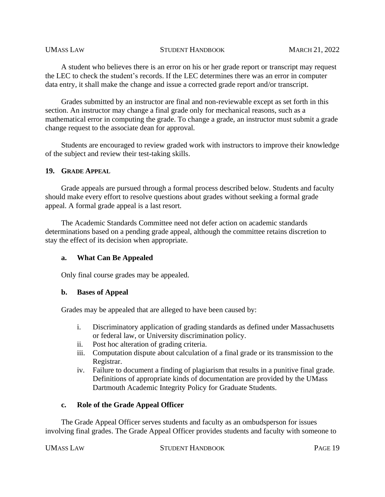A student who believes there is an error on his or her grade report or transcript may request the LEC to check the student's records. If the LEC determines there was an error in computer data entry, it shall make the change and issue a corrected grade report and/or transcript.

Grades submitted by an instructor are final and non-reviewable except as set forth in this section. An instructor may change a final grade only for mechanical reasons, such as a mathematical error in computing the grade. To change a grade, an instructor must submit a grade change request to the associate dean for approval.

Students are encouraged to review graded work with instructors to improve their knowledge of the subject and review their test-taking skills.

#### **19. GRADE APPEAL**

Grade appeals are pursued through a formal process described below. Students and faculty should make every effort to resolve questions about grades without seeking a formal grade appeal. A formal grade appeal is a last resort.

The Academic Standards Committee need not defer action on academic standards determinations based on a pending grade appeal, although the committee retains discretion to stay the effect of its decision when appropriate.

## **a. What Can Be Appealed**

Only final course grades may be appealed.

## **b. Bases of Appeal**

Grades may be appealed that are alleged to have been caused by:

- i. Discriminatory application of grading standards as defined under Massachusetts or federal law, or University discrimination policy.
- ii. Post hoc alteration of grading criteria.
- iii. Computation dispute about calculation of a final grade or its transmission to the Registrar.
- iv. Failure to document a finding of plagiarism that results in a punitive final grade. Definitions of appropriate kinds of documentation are provided by the UMass Dartmouth Academic Integrity Policy for Graduate Students.

## **c. Role of the Grade Appeal Officer**

The Grade Appeal Officer serves students and faculty as an ombudsperson for issues involving final grades. The Grade Appeal Officer provides students and faculty with someone to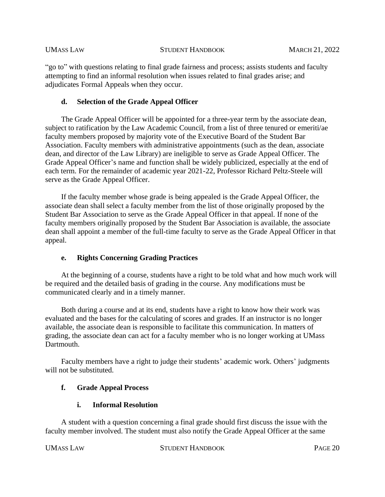"go to" with questions relating to final grade fairness and process; assists students and faculty attempting to find an informal resolution when issues related to final grades arise; and adjudicates Formal Appeals when they occur.

# **d. Selection of the Grade Appeal Officer**

The Grade Appeal Officer will be appointed for a three-year term by the associate dean, subject to ratification by the Law Academic Council, from a list of three tenured or emeriti/ae faculty members proposed by majority vote of the Executive Board of the Student Bar Association. Faculty members with administrative appointments (such as the dean, associate dean, and director of the Law Library) are ineligible to serve as Grade Appeal Officer. The Grade Appeal Officer's name and function shall be widely publicized, especially at the end of each term. For the remainder of academic year 2021-22, Professor Richard Peltz-Steele will serve as the Grade Appeal Officer.

If the faculty member whose grade is being appealed is the Grade Appeal Officer, the associate dean shall select a faculty member from the list of those originally proposed by the Student Bar Association to serve as the Grade Appeal Officer in that appeal. If none of the faculty members originally proposed by the Student Bar Association is available, the associate dean shall appoint a member of the full-time faculty to serve as the Grade Appeal Officer in that appeal.

# **e. Rights Concerning Grading Practices**

At the beginning of a course, students have a right to be told what and how much work will be required and the detailed basis of grading in the course. Any modifications must be communicated clearly and in a timely manner.

Both during a course and at its end, students have a right to know how their work was evaluated and the bases for the calculating of scores and grades. If an instructor is no longer available, the associate dean is responsible to facilitate this communication. In matters of grading, the associate dean can act for a faculty member who is no longer working at UMass Dartmouth.

Faculty members have a right to judge their students' academic work. Others' judgments will not be substituted.

# **f. Grade Appeal Process**

# **i. Informal Resolution**

A student with a question concerning a final grade should first discuss the issue with the faculty member involved. The student must also notify the Grade Appeal Officer at the same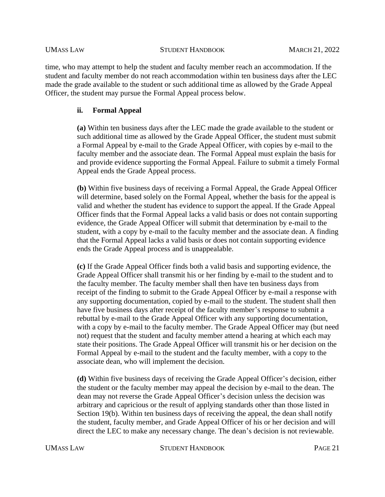time, who may attempt to help the student and faculty member reach an accommodation. If the student and faculty member do not reach accommodation within ten business days after the LEC made the grade available to the student or such additional time as allowed by the Grade Appeal Officer, the student may pursue the Formal Appeal process below.

## **ii. Formal Appeal**

**(a)** Within ten business days after the LEC made the grade available to the student or such additional time as allowed by the Grade Appeal Officer, the student must submit a Formal Appeal by e-mail to the Grade Appeal Officer, with copies by e-mail to the faculty member and the associate dean. The Formal Appeal must explain the basis for and provide evidence supporting the Formal Appeal. Failure to submit a timely Formal Appeal ends the Grade Appeal process.

**(b)** Within five business days of receiving a Formal Appeal, the Grade Appeal Officer will determine, based solely on the Formal Appeal, whether the basis for the appeal is valid and whether the student has evidence to support the appeal. If the Grade Appeal Officer finds that the Formal Appeal lacks a valid basis or does not contain supporting evidence, the Grade Appeal Officer will submit that determination by e-mail to the student, with a copy by e-mail to the faculty member and the associate dean. A finding that the Formal Appeal lacks a valid basis or does not contain supporting evidence ends the Grade Appeal process and is unappealable.

**(c)** If the Grade Appeal Officer finds both a valid basis and supporting evidence, the Grade Appeal Officer shall transmit his or her finding by e-mail to the student and to the faculty member. The faculty member shall then have ten business days from receipt of the finding to submit to the Grade Appeal Officer by e-mail a response with any supporting documentation, copied by e-mail to the student. The student shall then have five business days after receipt of the faculty member's response to submit a rebuttal by e-mail to the Grade Appeal Officer with any supporting documentation, with a copy by e-mail to the faculty member. The Grade Appeal Officer may (but need not) request that the student and faculty member attend a hearing at which each may state their positions. The Grade Appeal Officer will transmit his or her decision on the Formal Appeal by e-mail to the student and the faculty member, with a copy to the associate dean, who will implement the decision.

**(d)** Within five business days of receiving the Grade Appeal Officer's decision, either the student or the faculty member may appeal the decision by e-mail to the dean. The dean may not reverse the Grade Appeal Officer's decision unless the decision was arbitrary and capricious or the result of applying standards other than those listed in Section 19(b). Within ten business days of receiving the appeal, the dean shall notify the student, faculty member, and Grade Appeal Officer of his or her decision and will direct the LEC to make any necessary change. The dean's decision is not reviewable.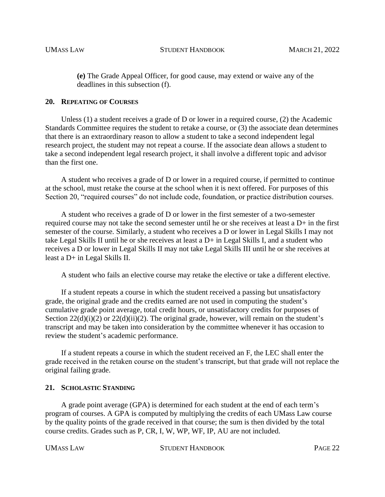**(e)** The Grade Appeal Officer, for good cause, may extend or waive any of the deadlines in this subsection (f).

#### **20. REPEATING OF COURSES**

Unless (1) a student receives a grade of D or lower in a required course, (2) the Academic Standards Committee requires the student to retake a course, or (3) the associate dean determines that there is an extraordinary reason to allow a student to take a second independent legal research project, the student may not repeat a course. If the associate dean allows a student to take a second independent legal research project, it shall involve a different topic and advisor than the first one.

A student who receives a grade of D or lower in a required course, if permitted to continue at the school, must retake the course at the school when it is next offered. For purposes of this Section 20, "required courses" do not include code, foundation, or practice distribution courses.

A student who receives a grade of D or lower in the first semester of a two-semester required course may not take the second semester until he or she receives at least a D+ in the first semester of the course. Similarly, a student who receives a D or lower in Legal Skills I may not take Legal Skills II until he or she receives at least a D+ in Legal Skills I, and a student who receives a D or lower in Legal Skills II may not take Legal Skills III until he or she receives at least a D+ in Legal Skills II.

A student who fails an elective course may retake the elective or take a different elective.

If a student repeats a course in which the student received a passing but unsatisfactory grade, the original grade and the credits earned are not used in computing the student's cumulative grade point average, total credit hours, or unsatisfactory credits for purposes of Section  $22(d)(i)(2)$  or  $22(d)(ii)(2)$ . The original grade, however, will remain on the student's transcript and may be taken into consideration by the committee whenever it has occasion to review the student's academic performance.

If a student repeats a course in which the student received an F, the LEC shall enter the grade received in the retaken course on the student's transcript, but that grade will not replace the original failing grade.

#### **21. SCHOLASTIC STANDING**

A grade point average (GPA) is determined for each student at the end of each term's program of courses. A GPA is computed by multiplying the credits of each UMass Law course by the quality points of the grade received in that course; the sum is then divided by the total course credits. Grades such as P, CR, I, W, WP, WF, IP, AU are not included.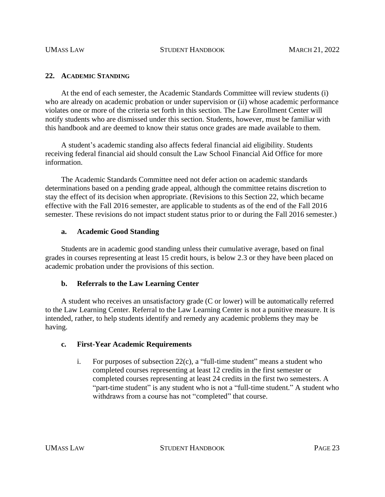#### **22. ACADEMIC STANDING**

At the end of each semester, the Academic Standards Committee will review students (i) who are already on academic probation or under supervision or (ii) whose academic performance violates one or more of the criteria set forth in this section. The Law Enrollment Center will notify students who are dismissed under this section. Students, however, must be familiar with this handbook and are deemed to know their status once grades are made available to them.

A student's academic standing also affects federal financial aid eligibility. Students receiving federal financial aid should consult the Law School Financial Aid Office for more information.

The Academic Standards Committee need not defer action on academic standards determinations based on a pending grade appeal, although the committee retains discretion to stay the effect of its decision when appropriate. (Revisions to this Section 22, which became effective with the Fall 2016 semester, are applicable to students as of the end of the Fall 2016 semester. These revisions do not impact student status prior to or during the Fall 2016 semester.)

#### **a. Academic Good Standing**

Students are in academic good standing unless their cumulative average, based on final grades in courses representing at least 15 credit hours, is below 2.3 or they have been placed on academic probation under the provisions of this section.

## **b. Referrals to the Law Learning Center**

A student who receives an unsatisfactory grade (C or lower) will be automatically referred to the Law Learning Center. Referral to the Law Learning Center is not a punitive measure. It is intended, rather, to help students identify and remedy any academic problems they may be having.

## **c. First-Year Academic Requirements**

i. For purposes of subsection 22(c), a "full-time student" means a student who completed courses representing at least 12 credits in the first semester or completed courses representing at least 24 credits in the first two semesters. A "part-time student" is any student who is not a "full-time student." A student who withdraws from a course has not "completed" that course.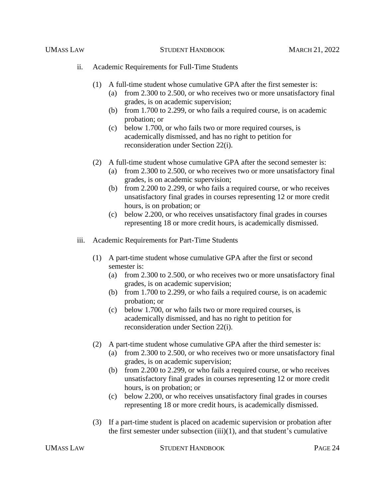- ii. Academic Requirements for Full-Time Students
	- (1) A full-time student whose cumulative GPA after the first semester is:
		- (a) from 2.300 to 2.500, or who receives two or more unsatisfactory final grades, is on academic supervision;
		- (b) from 1.700 to 2.299, or who fails a required course, is on academic probation; or
		- (c) below 1.700, or who fails two or more required courses, is academically dismissed, and has no right to petition for reconsideration under Section 22(i).
	- (2) A full-time student whose cumulative GPA after the second semester is:
		- (a) from 2.300 to 2.500, or who receives two or more unsatisfactory final grades, is on academic supervision;
		- (b) from 2.200 to 2.299, or who fails a required course, or who receives unsatisfactory final grades in courses representing 12 or more credit hours, is on probation; or
		- (c) below 2.200, or who receives unsatisfactory final grades in courses representing 18 or more credit hours, is academically dismissed.
- iii. Academic Requirements for Part-Time Students
	- (1) A part-time student whose cumulative GPA after the first or second semester is:
		- (a) from 2.300 to 2.500, or who receives two or more unsatisfactory final grades, is on academic supervision;
		- (b) from 1.700 to 2.299, or who fails a required course, is on academic probation; or
		- (c) below 1.700, or who fails two or more required courses, is academically dismissed, and has no right to petition for reconsideration under Section 22(i).
	- (2) A part-time student whose cumulative GPA after the third semester is:
		- (a) from 2.300 to 2.500, or who receives two or more unsatisfactory final grades, is on academic supervision;
		- (b) from 2.200 to 2.299, or who fails a required course, or who receives unsatisfactory final grades in courses representing 12 or more credit hours, is on probation; or
		- (c) below 2.200, or who receives unsatisfactory final grades in courses representing 18 or more credit hours, is academically dismissed.
	- (3) If a part-time student is placed on academic supervision or probation after the first semester under subsection  $(iii)(1)$ , and that student's cumulative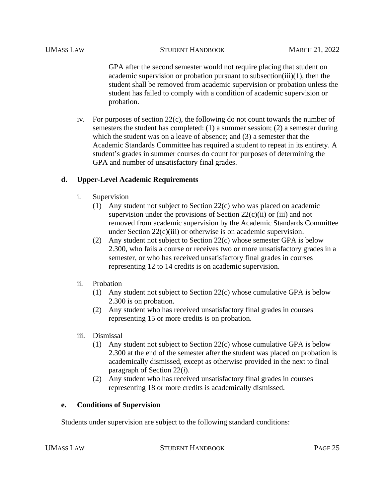GPA after the second semester would not require placing that student on academic supervision or probation pursuant to subsection(iii)(1), then the student shall be removed from academic supervision or probation unless the student has failed to comply with a condition of academic supervision or probation.

iv. For purposes of section  $22(c)$ , the following do not count towards the number of semesters the student has completed: (1) a summer session; (2) a semester during which the student was on a leave of absence; and (3) a semester that the Academic Standards Committee has required a student to repeat in its entirety. A student's grades in summer courses do count for purposes of determining the GPA and number of unsatisfactory final grades.

# **d. Upper-Level Academic Requirements**

- i. Supervision
	- (1) Any student not subject to Section 22(c) who was placed on academic supervision under the provisions of Section  $22(c)(ii)$  or (iii) and not removed from academic supervision by the Academic Standards Committee under Section 22(c)(iii) or otherwise is on academic supervision.
	- (2) Any student not subject to Section 22(c) whose semester GPA is below 2.300, who fails a course or receives two or more unsatisfactory grades in a semester, or who has received unsatisfactory final grades in courses representing 12 to 14 credits is on academic supervision.
- ii. Probation
	- (1) Any student not subject to Section 22(c) whose cumulative GPA is below 2.300 is on probation.
	- (2) Any student who has received unsatisfactory final grades in courses representing 15 or more credits is on probation.
- iii. Dismissal
	- (1) Any student not subject to Section 22(c) whose cumulative GPA is below 2.300 at the end of the semester after the student was placed on probation is academically dismissed, except as otherwise provided in the next to final paragraph of Section 22(*i*).
	- (2) Any student who has received unsatisfactory final grades in courses representing 18 or more credits is academically dismissed.

## **e. Conditions of Supervision**

Students under supervision are subject to the following standard conditions: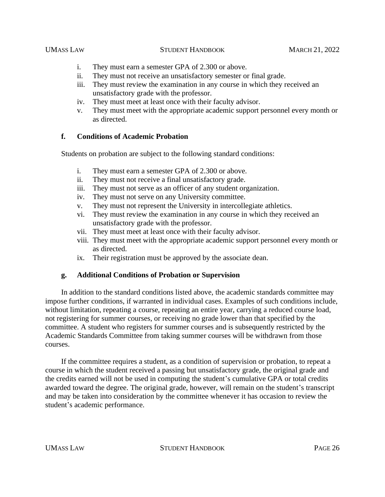- i. They must earn a semester GPA of 2.300 or above.
- ii. They must not receive an unsatisfactory semester or final grade.
- iii. They must review the examination in any course in which they received an unsatisfactory grade with the professor.
- iv. They must meet at least once with their faculty advisor.
- v. They must meet with the appropriate academic support personnel every month or as directed.

## **f. Conditions of Academic Probation**

Students on probation are subject to the following standard conditions:

- i. They must earn a semester GPA of 2.300 or above.
- ii. They must not receive a final unsatisfactory grade.
- iii. They must not serve as an officer of any student organization.
- iv. They must not serve on any University committee.
- v. They must not represent the University in intercollegiate athletics.
- vi. They must review the examination in any course in which they received an unsatisfactory grade with the professor.
- vii. They must meet at least once with their faculty advisor.
- viii. They must meet with the appropriate academic support personnel every month or as directed.
- ix. Their registration must be approved by the associate dean.

## **g. Additional Conditions of Probation or Supervision**

In addition to the standard conditions listed above, the academic standards committee may impose further conditions, if warranted in individual cases. Examples of such conditions include, without limitation, repeating a course, repeating an entire year, carrying a reduced course load, not registering for summer courses, or receiving no grade lower than that specified by the committee. A student who registers for summer courses and is subsequently restricted by the Academic Standards Committee from taking summer courses will be withdrawn from those courses.

If the committee requires a student, as a condition of supervision or probation, to repeat a course in which the student received a passing but unsatisfactory grade, the original grade and the credits earned will not be used in computing the student's cumulative GPA or total credits awarded toward the degree. The original grade, however, will remain on the student's transcript and may be taken into consideration by the committee whenever it has occasion to review the student's academic performance.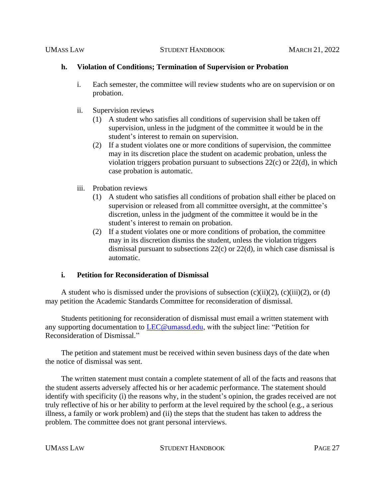## **h. Violation of Conditions; Termination of Supervision or Probation**

- i. Each semester, the committee will review students who are on supervision or on probation.
- ii. Supervision reviews
	- (1) A student who satisfies all conditions of supervision shall be taken off supervision, unless in the judgment of the committee it would be in the student's interest to remain on supervision.
	- (2) If a student violates one or more conditions of supervision, the committee may in its discretion place the student on academic probation, unless the violation triggers probation pursuant to subsections  $22(c)$  or  $22(d)$ , in which case probation is automatic.
- iii. Probation reviews
	- (1) A student who satisfies all conditions of probation shall either be placed on supervision or released from all committee oversight, at the committee's discretion, unless in the judgment of the committee it would be in the student's interest to remain on probation.
	- (2) If a student violates one or more conditions of probation, the committee may in its discretion dismiss the student, unless the violation triggers dismissal pursuant to subsections 22(c) or 22(d), in which case dismissal is automatic.

## **i. Petition for Reconsideration of Dismissal**

A student who is dismissed under the provisions of subsection  $(c)(ii)(2)$ ,  $(c)(iii)(2)$ , or (d) may petition the Academic Standards Committee for reconsideration of dismissal.

Students petitioning for reconsideration of dismissal must email a written statement with any supporting documentation to **LEC@umassd.edu**, with the subject line: "Petition for Reconsideration of Dismissal."

The petition and statement must be received within seven business days of the date when the notice of dismissal was sent.

The written statement must contain a complete statement of all of the facts and reasons that the student asserts adversely affected his or her academic performance. The statement should identify with specificity (i) the reasons why, in the student's opinion, the grades received are not truly reflective of his or her ability to perform at the level required by the school (e.g., a serious illness, a family or work problem) and (ii) the steps that the student has taken to address the problem. The committee does not grant personal interviews.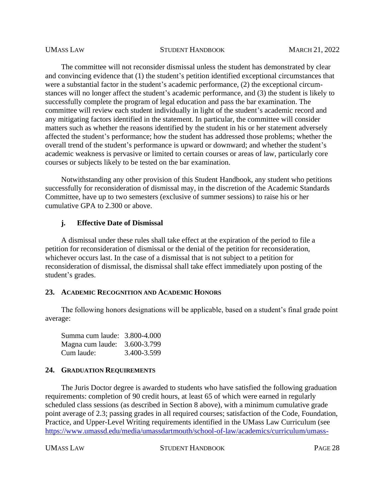The committee will not reconsider dismissal unless the student has demonstrated by clear and convincing evidence that (1) the student's petition identified exceptional circumstances that were a substantial factor in the student's academic performance, (2) the exceptional circumstances will no longer affect the student's academic performance, and (3) the student is likely to successfully complete the program of legal education and pass the bar examination. The committee will review each student individually in light of the student's academic record and any mitigating factors identified in the statement. In particular, the committee will consider matters such as whether the reasons identified by the student in his or her statement adversely affected the student's performance; how the student has addressed those problems; whether the overall trend of the student's performance is upward or downward; and whether the student's academic weakness is pervasive or limited to certain courses or areas of law, particularly core courses or subjects likely to be tested on the bar examination.

Notwithstanding any other provision of this Student Handbook, any student who petitions successfully for reconsideration of dismissal may, in the discretion of the Academic Standards Committee, have up to two semesters (exclusive of summer sessions) to raise his or her cumulative GPA to 2.300 or above.

#### **j. Effective Date of Dismissal**

A dismissal under these rules shall take effect at the expiration of the period to file a petition for reconsideration of dismissal or the denial of the petition for reconsideration, whichever occurs last. In the case of a dismissal that is not subject to a petition for reconsideration of dismissal, the dismissal shall take effect immediately upon posting of the student's grades.

#### **23. ACADEMIC RECOGNITION AND ACADEMIC HONORS**

The following honors designations will be applicable, based on a student's final grade point average:

Summa cum laude: 3.800-4.000 Magna cum laude: 3.600-3.799 Cum laude: 3.400-3.599

#### **24. GRADUATION REQUIREMENTS**

The Juris Doctor degree is awarded to students who have satisfied the following graduation requirements: completion of 90 credit hours, at least 65 of which were earned in regularly scheduled class sessions (as described in Section 8 above), with a minimum cumulative grade point average of 2.3; passing grades in all required courses; satisfaction of the Code, Foundation, Practice, and Upper-Level Writing requirements identified in the UMass Law Curriculum (see [https://www.umassd.edu/media/umassdartmouth/school-of-law/academics/curriculum/umass-](https://www.umassd.edu/media/umassdartmouth/school-of-law/academics/curriculum/umass-law-curriculum.pdf)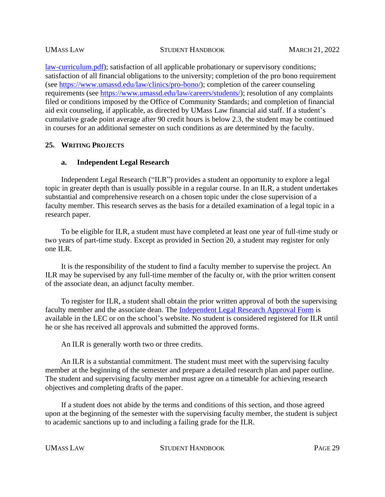[law-curriculum.pdf\)](https://www.umassd.edu/media/umassdartmouth/school-of-law/academics/curriculum/umass-law-curriculum.pdf); satisfaction of all applicable probationary or supervisory conditions; satisfaction of all financial obligations to the university; completion of the pro bono requirement (see [https://www.umassd.edu/law/clinics/pro-bono/\)](https://www.umassd.edu/law/clinics/pro-bono/); completion of the career counseling requirements (see [https://www.umassd.edu/law/careers/students/\)](https://www.umassd.edu/law/careers/students/); resolution of any complaints filed or conditions imposed by the Office of Community Standards; and completion of financial aid exit counseling, if applicable, as directed by UMass Law financial aid staff. If a student's cumulative grade point average after 90 credit hours is below 2.3, the student may be continued in courses for an additional semester on such conditions as are determined by the faculty.

## **25. WRITING PROJECTS**

## **a. Independent Legal Research**

Independent Legal Research ("ILR") provides a student an opportunity to explore a legal topic in greater depth than is usually possible in a regular course. In an ILR, a student undertakes substantial and comprehensive research on a chosen topic under the close supervision of a faculty member. This research serves as the basis for a detailed examination of a legal topic in a research paper.

To be eligible for ILR, a student must have completed at least one year of full-time study or two years of part-time study. Except as provided in Section 20, a student may register for only one ILR.

It is the responsibility of the student to find a faculty member to supervise the project. An ILR may be supervised by any full-time member of the faculty or, with the prior written consent of the associate dean, an adjunct faculty member.

To register for ILR, a student shall obtain the prior written approval of both the supervising faculty member and the associate dean. The [Independent Legal Research Approval Form](https://www.umassd.edu/media/umassdartmouth/school-of-law/forms/ilr_approval_form.pdf) is available in the LEC or on the school's website. No student is considered registered for ILR until he or she has received all approvals and submitted the approved forms.

An ILR is generally worth two or three credits.

An ILR is a substantial commitment. The student must meet with the supervising faculty member at the beginning of the semester and prepare a detailed research plan and paper outline. The student and supervising faculty member must agree on a timetable for achieving research objectives and completing drafts of the paper.

If a student does not abide by the terms and conditions of this section, and those agreed upon at the beginning of the semester with the supervising faculty member, the student is subject to academic sanctions up to and including a failing grade for the ILR.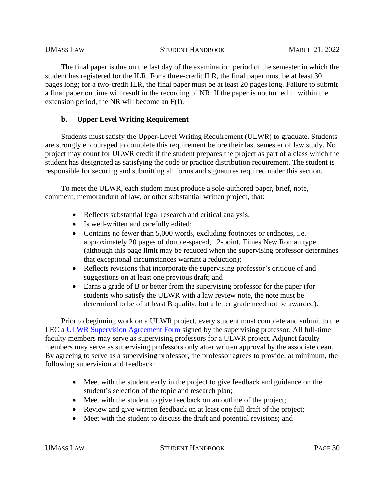The final paper is due on the last day of the examination period of the semester in which the student has registered for the ILR. For a three-credit ILR, the final paper must be at least 30 pages long; for a two-credit ILR, the final paper must be at least 20 pages long. Failure to submit a final paper on time will result in the recording of NR. If the paper is not turned in within the extension period, the NR will become an F(I).

# **b. Upper Level Writing Requirement**

Students must satisfy the Upper-Level Writing Requirement (ULWR) to graduate. Students are strongly encouraged to complete this requirement before their last semester of law study. No project may count for ULWR credit if the student prepares the project as part of a class which the student has designated as satisfying the code or practice distribution requirement. The student is responsible for securing and submitting all forms and signatures required under this section.

To meet the ULWR, each student must produce a sole-authored paper, brief, note, comment, memorandum of law, or other substantial written project, that:

- Reflects substantial legal research and critical analysis;
- Is well-written and carefully edited;
- Contains no fewer than 5,000 words, excluding footnotes or endnotes, i.e. approximately 20 pages of double-spaced, 12-point, Times New Roman type (although this page limit may be reduced when the supervising professor determines that exceptional circumstances warrant a reduction);
- Reflects revisions that incorporate the supervising professor's critique of and suggestions on at least one previous draft; and
- Earns a grade of B or better from the supervising professor for the paper (for students who satisfy the ULWR with a law review note, the note must be determined to be of at least B quality, but a letter grade need not be awarded).

Prior to beginning work on a ULWR project, every student must complete and submit to the LEC a [ULWR Supervision Agreement Form](https://www.umassd.edu/media/umassdartmouth/school-of-law/forms/ulw_supervision_agreement_form.pdf) signed by the supervising professor. All full-time faculty members may serve as supervising professors for a ULWR project. Adjunct faculty members may serve as supervising professors only after written approval by the associate dean. By agreeing to serve as a supervising professor, the professor agrees to provide, at minimum, the following supervision and feedback:

- Meet with the student early in the project to give feedback and guidance on the student's selection of the topic and research plan;
- Meet with the student to give feedback on an outline of the project;
- Review and give written feedback on at least one full draft of the project;
- Meet with the student to discuss the draft and potential revisions; and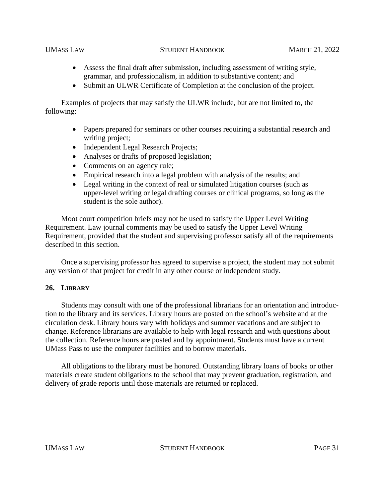- Assess the final draft after submission, including assessment of writing style, grammar, and professionalism, in addition to substantive content; and
- Submit an ULWR Certificate of Completion at the conclusion of the project.

Examples of projects that may satisfy the ULWR include, but are not limited to, the following:

- Papers prepared for seminars or other courses requiring a substantial research and writing project;
- Independent Legal Research Projects;
- Analyses or drafts of proposed legislation;
- Comments on an agency rule;
- Empirical research into a legal problem with analysis of the results; and
- Legal writing in the context of real or simulated litigation courses (such as upper-level writing or legal drafting courses or clinical programs, so long as the student is the sole author).

Moot court competition briefs may not be used to satisfy the Upper Level Writing Requirement. Law journal comments may be used to satisfy the Upper Level Writing Requirement, provided that the student and supervising professor satisfy all of the requirements described in this section.

Once a supervising professor has agreed to supervise a project, the student may not submit any version of that project for credit in any other course or independent study.

## **26. LIBRARY**

Students may consult with one of the professional librarians for an orientation and introduction to the library and its services. Library hours are posted on the school's website and at the circulation desk. Library hours vary with holidays and summer vacations and are subject to change. Reference librarians are available to help with legal research and with questions about the collection. Reference hours are posted and by appointment. Students must have a current UMass Pass to use the computer facilities and to borrow materials.

All obligations to the library must be honored. Outstanding library loans of books or other materials create student obligations to the school that may prevent graduation, registration, and delivery of grade reports until those materials are returned or replaced.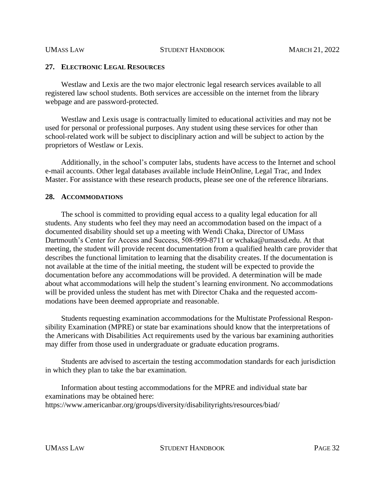#### **27. ELECTRONIC LEGAL RESOURCES**

Westlaw and Lexis are the two major electronic legal research services available to all registered law school students. Both services are accessible on the internet from the library webpage and are password-protected.

Westlaw and Lexis usage is contractually limited to educational activities and may not be used for personal or professional purposes. Any student using these services for other than school-related work will be subject to disciplinary action and will be subject to action by the proprietors of Westlaw or Lexis.

Additionally, in the school's computer labs, students have access to the Internet and school e-mail accounts. Other legal databases available include HeinOnline, Legal Trac, and Index Master. For assistance with these research products, please see one of the reference librarians.

#### **28. ACCOMMODATIONS**

The school is committed to providing equal access to a quality legal education for all students. Any students who feel they may need an accommodation based on the impact of a documented disability should set up a meeting with Wendi Chaka, Director of UMass Dartmouth's Center for Access and Success, 508-999-8711 or wchaka@umassd.edu. At that meeting, the student will provide recent documentation from a qualified health care provider that describes the functional limitation to learning that the disability creates. If the documentation is not available at the time of the initial meeting, the student will be expected to provide the documentation before any accommodations will be provided. A determination will be made about what accommodations will help the student's learning environment. No accommodations will be provided unless the student has met with Director Chaka and the requested accommodations have been deemed appropriate and reasonable.

Students requesting examination accommodations for the Multistate Professional Responsibility Examination (MPRE) or state bar examinations should know that the interpretations of the Americans with Disabilities Act requirements used by the various bar examining authorities may differ from those used in undergraduate or graduate education programs.

Students are advised to ascertain the testing accommodation standards for each jurisdiction in which they plan to take the bar examination.

Information about testing accommodations for the MPRE and individual state bar examinations may be obtained here: https://www.americanbar.org/groups/diversity/disabilityrights/resources/biad/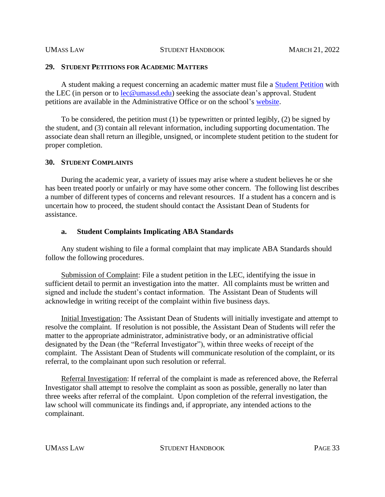#### **29. STUDENT PETITIONS FOR ACADEMIC MATTERS**

A student making a request concerning an academic matter must file a [Student Petition](https://www.umassd.edu/media/umassdartmouth/school-of-law/forms/student_petition_form_aug.pdf) with the LEC (in person or to  $lec@umassd.edu$ ) seeking the associate dean's approval. Student</u> petitions are available in the Administrative Office or on the school's [website.](https://www.umassd.edu/media/umassdartmouth/school-of-law/forms/student_petition_form_aug.pdf)

To be considered, the petition must (1) be typewritten or printed legibly, (2) be signed by the student, and (3) contain all relevant information, including supporting documentation. The associate dean shall return an illegible, unsigned, or incomplete student petition to the student for proper completion.

#### **30. STUDENT COMPLAINTS**

During the academic year, a variety of issues may arise where a student believes he or she has been treated poorly or unfairly or may have some other concern. The following list describes a number of different types of concerns and relevant resources. If a student has a concern and is uncertain how to proceed, the student should contact the Assistant Dean of Students for assistance.

#### **a. Student Complaints Implicating ABA Standards**

Any student wishing to file a formal complaint that may implicate ABA Standards should follow the following procedures.

Submission of Complaint: File a student petition in the LEC, identifying the issue in sufficient detail to permit an investigation into the matter. All complaints must be written and signed and include the student's contact information. The Assistant Dean of Students will acknowledge in writing receipt of the complaint within five business days.

Initial Investigation: The Assistant Dean of Students will initially investigate and attempt to resolve the complaint. If resolution is not possible, the Assistant Dean of Students will refer the matter to the appropriate administrator, administrative body, or an administrative official designated by the Dean (the "Referral Investigator"), within three weeks of receipt of the complaint. The Assistant Dean of Students will communicate resolution of the complaint, or its referral, to the complainant upon such resolution or referral.

Referral Investigation: If referral of the complaint is made as referenced above, the Referral Investigator shall attempt to resolve the complaint as soon as possible, generally no later than three weeks after referral of the complaint. Upon completion of the referral investigation, the law school will communicate its findings and, if appropriate, any intended actions to the complainant.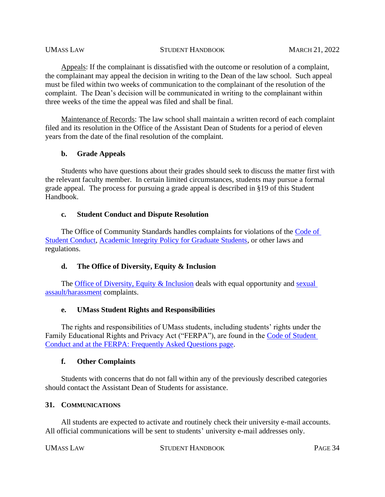Appeals: If the complainant is dissatisfied with the outcome or resolution of a complaint, the complainant may appeal the decision in writing to the Dean of the law school. Such appeal must be filed within two weeks of communication to the complainant of the resolution of the complaint. The Dean's decision will be communicated in writing to the complainant within three weeks of the time the appeal was filed and shall be final.

Maintenance of Records: The law school shall maintain a written record of each complaint filed and its resolution in the Office of the Assistant Dean of Students for a period of eleven years from the date of the final resolution of the complaint.

## **b. Grade Appeals**

Students who have questions about their grades should seek to discuss the matter first with the relevant faculty member. In certain limited circumstances, students may pursue a formal grade appeal. The process for pursuing a grade appeal is described in §19 of this Student Handbook.

## **c. Student Conduct and Dispute Resolution**

The Office of Community Standards handles complaints for violations of the [Code of](https://www.umassd.edu/policies/active-policy-list/students/student-conduct-policies-and-procedures/)  [Student Conduct,](https://www.umassd.edu/policies/active-policy-list/students/student-conduct-policies-and-procedures/) [Academic Integrity Policy for Graduate Students,](https://www.umassd.edu/studentaffairs/studenthandbook/academic-regulations-and-procedures/) or other laws and regulations.

# **d. The Office of Diversity, Equity & Inclusion**

The [Office of Diversity, Equity & Inclusion](https://www.umassd.edu/hr/diversity/) deals with equal opportunity and sexual [assault/harassment](https://www.umassd.edu/diversity/file-a-complaint/) complaints.

# **e. UMass Student Rights and Responsibilities**

The rights and responsibilities of UMass students, including students' rights under the Family Educational Rights and Privacy Act ("FERPA"), are found in the [Code of Student](https://www.umassd.edu/policies/active-policy-list/students/student-conduct-policies-and-procedures/)  [Conduct](https://www.umassd.edu/policies/active-policy-list/students/student-conduct-policies-and-procedures/) and at the [FERPA: Frequently Asked Questions page.](https://www.umassd.edu/registrar/ferpa-faq/)

## **f. Other Complaints**

Students with concerns that do not fall within any of the previously described categories should contact the Assistant Dean of Students for assistance.

## **31. COMMUNICATIONS**

All students are expected to activate and routinely check their university e-mail accounts. All official communications will be sent to students' university e-mail addresses only.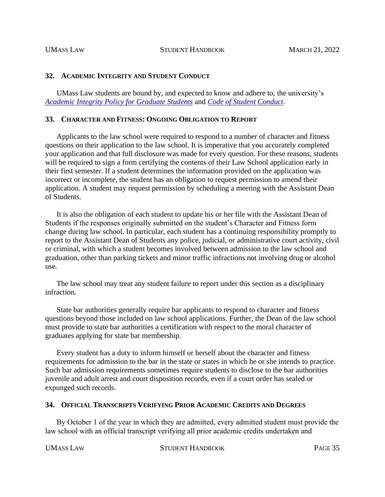#### **32. ACADEMIC INTEGRITY AND STUDENT CONDUCT**

UMass Law students are bound by, and expected to know and adhere to, the university's *Academic Integrity [Policy for Graduate Students](https://www.umassd.edu/studentaffairs/studenthandbook/academic-regulations-and-procedures/)* and *[Code of Student Conduct](https://www.umassd.edu/policies/active-policy-list/students/student-conduct-policies-and-procedures/)*.

#### **33. CHARACTER AND FITNESS: ONGOING OBLIGATION TO REPORT**

Applicants to the law school were required to respond to a number of character and fitness questions on their application to the law school. It is imperative that you accurately completed your application and that full disclosure was made for every question. For these reasons, students will be required to sign a form certifying the contents of their Law School application early in their first semester. If a student determines the information provided on the application was incorrect or incomplete, the student has an obligation to request permission to amend their application. A student may request permission by scheduling a meeting with the Assistant Dean of Students.

It is also the obligation of each student to update his or her file with the Assistant Dean of Students if the responses originally submitted on the student's Character and Fitness form change during law school. In particular, each student has a continuing responsibility promptly to report to the Assistant Dean of Students any police, judicial, or administrative court activity, civil or criminal, with which a student becomes involved between admission to the law school and graduation, other than parking tickets and minor traffic infractions not involving drug or alcohol use.

The law school may treat any student failure to report under this section as a disciplinary infraction.

State bar authorities generally require bar applicants to respond to character and fitness questions beyond those included on law school applications. Further, the Dean of the law school must provide to state bar authorities a certification with respect to the moral character of graduates applying for state bar membership.

Every student has a duty to inform himself or herself about the character and fitness requirements for admission to the bar in the state or states in which he or she intends to practice. Such bar admission requirements sometimes require students to disclose to the bar authorities juvenile and adult arrest and court disposition records, even if a court order has sealed or expunged such records.

#### **34. OFFICIAL TRANSCRIPTS VERIFYING PRIOR ACADEMIC CREDITS AND DEGREES**

By October 1 of the year in which they are admitted, every admitted student must provide the law school with an official transcript verifying all prior academic credits undertaken and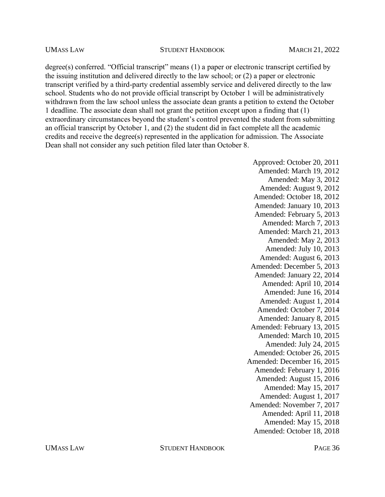degree(s) conferred. "Official transcript" means (1) a paper or electronic transcript certified by the issuing institution and delivered directly to the law school; or (2) a paper or electronic transcript verified by a third-party credential assembly service and delivered directly to the law school. Students who do not provide official transcript by October 1 will be administratively withdrawn from the law school unless the associate dean grants a petition to extend the October 1 deadline. The associate dean shall not grant the petition except upon a finding that (1) extraordinary circumstances beyond the student's control prevented the student from submitting an official transcript by October 1, and (2) the student did in fact complete all the academic credits and receive the degree(s) represented in the application for admission. The Associate Dean shall not consider any such petition filed later than October 8.

> Approved: October 20, 2011 Amended: March 19, 2012 Amended: May 3, 2012 Amended: August 9, 2012 Amended: October 18, 2012 Amended: January 10, 2013 Amended: February 5, 2013 Amended: March 7, 2013 Amended: March 21, 2013 Amended: May 2, 2013 Amended: July 10, 2013 Amended: August 6, 2013 Amended: December 5, 2013 Amended: January 22, 2014 Amended: April 10, 2014 Amended: June 16, 2014 Amended: August 1, 2014 Amended: October 7, 2014 Amended: January 8, 2015 Amended: February 13, 2015 Amended: March 10, 2015 Amended: July 24, 2015 Amended: October 26, 2015 Amended: December 16, 2015 Amended: February 1, 2016 Amended: August 15, 2016 Amended: May 15, 2017 Amended: August 1, 2017 Amended: November 7, 2017 Amended: April 11, 2018 Amended: May 15, 2018 Amended: October 18, 2018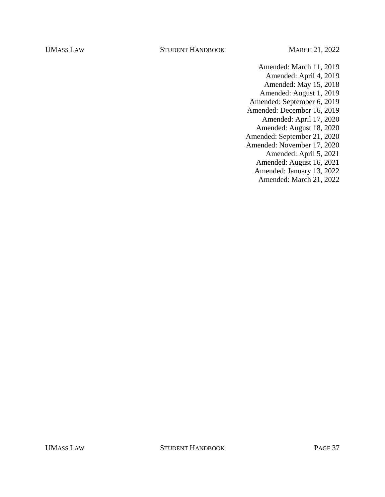- Amended: March 11, 2019 Amended: April 4, 2019 Amended: May 15, 2018 Amended: August 1, 2019 Amended: September 6, 2019 Amended: December 16, 2019 Amended: April 17, 2020 Amended: August 18, 2020 Amended: September 21, 2020 Amended: November 17, 2020 Amended: April 5, 2021 Amended: August 16, 2021 Amended: January 13, 2022
	- Amended: March 21, 2022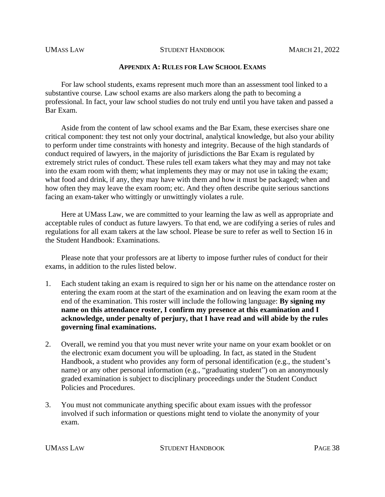#### **APPENDIX A: RULES FOR LAW SCHOOL EXAMS**

For law school students, exams represent much more than an assessment tool linked to a substantive course. Law school exams are also markers along the path to becoming a professional. In fact, your law school studies do not truly end until you have taken and passed a Bar Exam.

Aside from the content of law school exams and the Bar Exam, these exercises share one critical component: they test not only your doctrinal, analytical knowledge, but also your ability to perform under time constraints with honesty and integrity. Because of the high standards of conduct required of lawyers, in the majority of jurisdictions the Bar Exam is regulated by extremely strict rules of conduct. These rules tell exam takers what they may and may not take into the exam room with them; what implements they may or may not use in taking the exam; what food and drink, if any, they may have with them and how it must be packaged; when and how often they may leave the exam room; etc. And they often describe quite serious sanctions facing an exam-taker who wittingly or unwittingly violates a rule.

Here at UMass Law, we are committed to your learning the law as well as appropriate and acceptable rules of conduct as future lawyers. To that end, we are codifying a series of rules and regulations for all exam takers at the law school. Please be sure to refer as well to Section 16 in the Student Handbook: Examinations.

Please note that your professors are at liberty to impose further rules of conduct for their exams, in addition to the rules listed below.

- 1. Each student taking an exam is required to sign her or his name on the attendance roster on entering the exam room at the start of the examination and on leaving the exam room at the end of the examination. This roster will include the following language: **By signing my name on this attendance roster, I confirm my presence at this examination and I acknowledge, under penalty of perjury, that I have read and will abide by the rules governing final examinations.**
- 2. Overall, we remind you that you must never write your name on your exam booklet or on the electronic exam document you will be uploading. In fact, as stated in the Student Handbook, a student who provides any form of personal identification (e.g., the student's name) or any other personal information (e.g., "graduating student") on an anonymously graded examination is subject to disciplinary proceedings under the Student Conduct Policies and Procedures.
- 3. You must not communicate anything specific about exam issues with the professor involved if such information or questions might tend to violate the anonymity of your exam.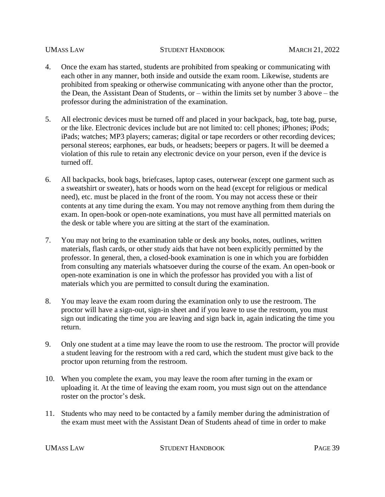- 4. Once the exam has started, students are prohibited from speaking or communicating with each other in any manner, both inside and outside the exam room. Likewise, students are prohibited from speaking or otherwise communicating with anyone other than the proctor, the Dean, the Assistant Dean of Students, or – within the limits set by number 3 above – the professor during the administration of the examination.
- 5. All electronic devices must be turned off and placed in your backpack, bag, tote bag, purse, or the like. Electronic devices include but are not limited to: cell phones; iPhones; iPods; iPads; watches; MP3 players; cameras; digital or tape recorders or other recording devices; personal stereos; earphones, ear buds, or headsets; beepers or pagers. It will be deemed a violation of this rule to retain any electronic device on your person, even if the device is turned off.
- 6. All backpacks, book bags, briefcases, laptop cases, outerwear (except one garment such as a sweatshirt or sweater), hats or hoods worn on the head (except for religious or medical need), etc. must be placed in the front of the room. You may not access these or their contents at any time during the exam. You may not remove anything from them during the exam. In open-book or open-note examinations, you must have all permitted materials on the desk or table where you are sitting at the start of the examination.
- 7. You may not bring to the examination table or desk any books, notes, outlines, written materials, flash cards, or other study aids that have not been explicitly permitted by the professor. In general, then, a closed-book examination is one in which you are forbidden from consulting any materials whatsoever during the course of the exam. An open-book or open-note examination is one in which the professor has provided you with a list of materials which you are permitted to consult during the examination.
- 8. You may leave the exam room during the examination only to use the restroom. The proctor will have a sign-out, sign-in sheet and if you leave to use the restroom, you must sign out indicating the time you are leaving and sign back in, again indicating the time you return.
- 9. Only one student at a time may leave the room to use the restroom. The proctor will provide a student leaving for the restroom with a red card, which the student must give back to the proctor upon returning from the restroom.
- 10. When you complete the exam, you may leave the room after turning in the exam or uploading it. At the time of leaving the exam room, you must sign out on the attendance roster on the proctor's desk.
- 11. Students who may need to be contacted by a family member during the administration of the exam must meet with the Assistant Dean of Students ahead of time in order to make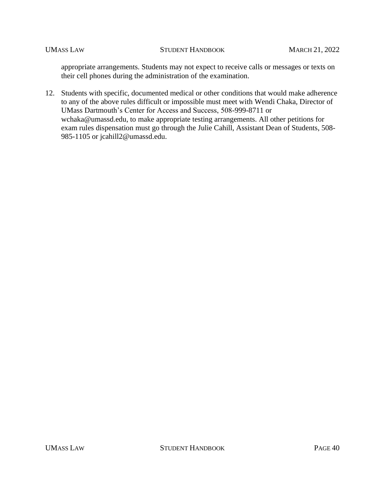appropriate arrangements. Students may not expect to receive calls or messages or texts on their cell phones during the administration of the examination.

12. Students with specific, documented medical or other conditions that would make adherence to any of the above rules difficult or impossible must meet with Wendi Chaka, Director of UMass Dartmouth's Center for Access and Success, 508-999-8711 or wchaka@umassd.edu, to make appropriate testing arrangements. All other petitions for exam rules dispensation must go through the Julie Cahill, Assistant Dean of Students, 508- 985-1105 or jcahill2@umassd.edu.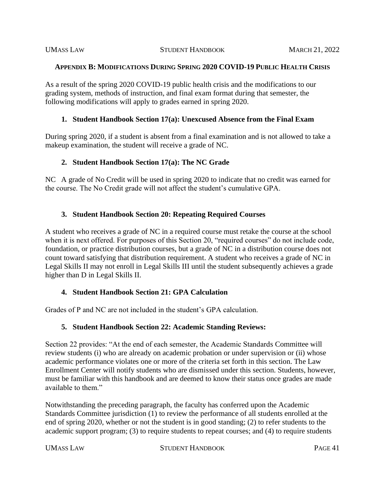### **APPENDIX B: MODIFICATIONS DURING SPRING 2020 COVID-19 PUBLIC HEALTH CRISIS**

As a result of the spring 2020 COVID-19 public health crisis and the modifications to our grading system, methods of instruction, and final exam format during that semester, the following modifications will apply to grades earned in spring 2020.

## **1. Student Handbook Section 17(a): Unexcused Absence from the Final Exam**

During spring 2020, if a student is absent from a final examination and is not allowed to take a makeup examination, the student will receive a grade of NC.

# **2. Student Handbook Section 17(a): The NC Grade**

NC A grade of No Credit will be used in spring 2020 to indicate that no credit was earned for the course. The No Credit grade will not affect the student's cumulative GPA.

## **3. Student Handbook Section 20: Repeating Required Courses**

A student who receives a grade of NC in a required course must retake the course at the school when it is next offered. For purposes of this Section 20, "required courses" do not include code, foundation, or practice distribution courses, but a grade of NC in a distribution course does not count toward satisfying that distribution requirement. A student who receives a grade of NC in Legal Skills II may not enroll in Legal Skills III until the student subsequently achieves a grade higher than D in Legal Skills II.

# **4. Student Handbook Section 21: GPA Calculation**

Grades of P and NC are not included in the student's GPA calculation.

# **5. Student Handbook Section 22: Academic Standing Reviews:**

Section 22 provides: "At the end of each semester, the Academic Standards Committee will review students (i) who are already on academic probation or under supervision or (ii) whose academic performance violates one or more of the criteria set forth in this section. The Law Enrollment Center will notify students who are dismissed under this section. Students, however, must be familiar with this handbook and are deemed to know their status once grades are made available to them."

Notwithstanding the preceding paragraph, the faculty has conferred upon the Academic Standards Committee jurisdiction (1) to review the performance of all students enrolled at the end of spring 2020, whether or not the student is in good standing; (2) to refer students to the academic support program; (3) to require students to repeat courses; and (4) to require students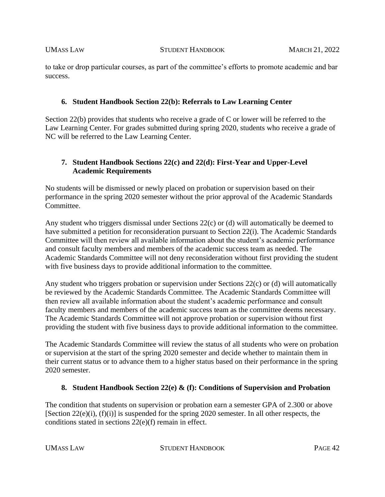to take or drop particular courses, as part of the committee's efforts to promote academic and bar success.

# **6. Student Handbook Section 22(b): Referrals to Law Learning Center**

Section 22(b) provides that students who receive a grade of C or lower will be referred to the Law Learning Center. For grades submitted during spring 2020, students who receive a grade of NC will be referred to the Law Learning Center.

# **7. Student Handbook Sections 22(c) and 22(d): First-Year and Upper-Level Academic Requirements**

No students will be dismissed or newly placed on probation or supervision based on their performance in the spring 2020 semester without the prior approval of the Academic Standards Committee.

Any student who triggers dismissal under Sections 22(c) or (d) will automatically be deemed to have submitted a petition for reconsideration pursuant to Section 22(i). The Academic Standards Committee will then review all available information about the student's academic performance and consult faculty members and members of the academic success team as needed. The Academic Standards Committee will not deny reconsideration without first providing the student with five business days to provide additional information to the committee.

Any student who triggers probation or supervision under Sections 22(c) or (d) will automatically be reviewed by the Academic Standards Committee. The Academic Standards Committee will then review all available information about the student's academic performance and consult faculty members and members of the academic success team as the committee deems necessary. The Academic Standards Committee will not approve probation or supervision without first providing the student with five business days to provide additional information to the committee.

The Academic Standards Committee will review the status of all students who were on probation or supervision at the start of the spring 2020 semester and decide whether to maintain them in their current status or to advance them to a higher status based on their performance in the spring 2020 semester.

## **8. Student Handbook Section 22(e) & (f): Conditions of Supervision and Probation**

The condition that students on supervision or probation earn a semester GPA of 2.300 or above [Section 22(e)(i), (f)(i)] is suspended for the spring 2020 semester. In all other respects, the conditions stated in sections 22(e)(f) remain in effect.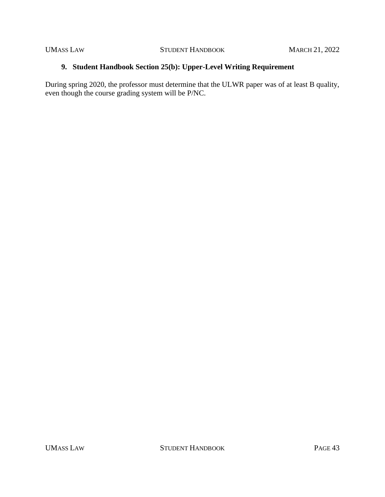# **9. Student Handbook Section 25(b): Upper-Level Writing Requirement**

During spring 2020, the professor must determine that the ULWR paper was of at least B quality, even though the course grading system will be P/NC.